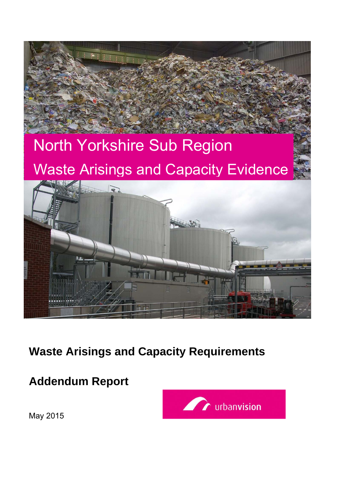

# North Yorkshire Sub Region North Yorkshire Sub Region



**Waste Arisings and Capacity Requirements** 

## **Addendum Report**



May 2015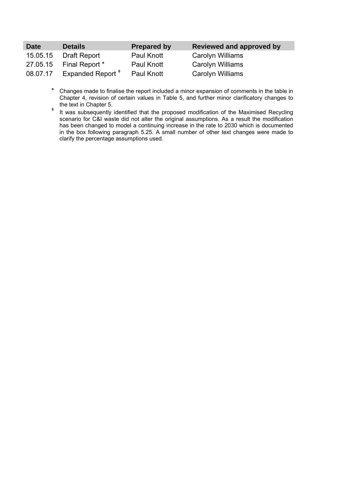| <b>Date</b> | <b>Details</b>               | <b>Prepared by</b> | Reviewed and approved by |
|-------------|------------------------------|--------------------|--------------------------|
| 15.05.15    | Draft Report                 | Paul Knott         | Carolyn Williams         |
| 27.05.15    | Final Report *               | Paul Knott         | <b>Carolyn Williams</b>  |
| 08.07.17    | Expanded Report <sup>#</sup> | Paul Knott         | <b>Carolyn Williams</b>  |

- \* Changes made to finalise the report included a minor expansion of comments in the table in Chapter 4, revision of certain values in Table 5, and further minor clarificatory changes to
- the text in Chapter 5.<br>
<sup>‡</sup> It was subsequently identified that the proposed modification of the Maximised Recycling scenario for C&I waste did not alter the original assumptions. As a result the modification has been changed to model a continuing increase in the rate to 2030 which is documented in the box following paragraph 5.25. A small number of other text changes were made to clarify the percentage assumptions used.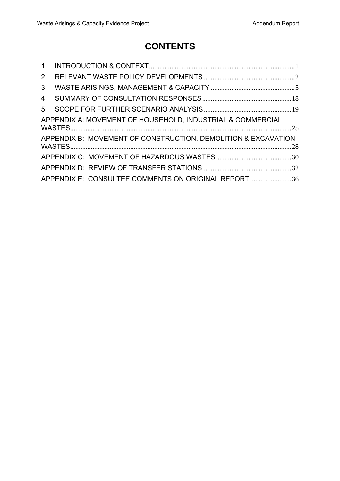## **CONTENTS**

| $\mathbf{1}$ |                                                               |  |
|--------------|---------------------------------------------------------------|--|
| $2^{\circ}$  |                                                               |  |
| 3            |                                                               |  |
| 4            |                                                               |  |
| 5            |                                                               |  |
|              | APPENDIX A: MOVEMENT OF HOUSEHOLD, INDUSTRIAL & COMMERCIAL    |  |
|              | APPENDIX B: MOVEMENT OF CONSTRUCTION, DEMOLITION & EXCAVATION |  |
|              |                                                               |  |
|              |                                                               |  |
|              | APPENDIX E: CONSULTEE COMMENTS ON ORIGINAL REPORT 36          |  |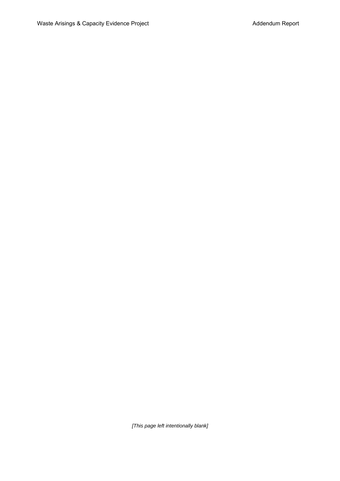*[This page left intentionally blank]*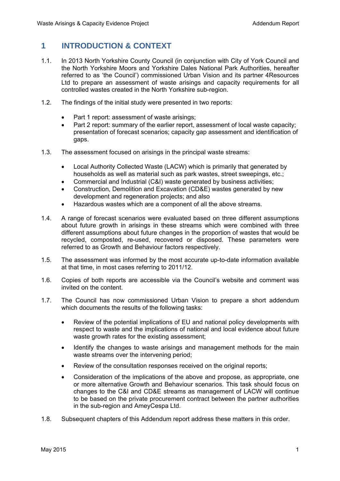## **1 INTRODUCTION & CONTEXT**

- 1.1. In 2013 North Yorkshire County Council (in conjunction with City of York Council and the North Yorkshire Moors and Yorkshire Dales National Park Authorities, hereafter referred to as 'the Council') commissioned Urban Vision and its partner 4Resources Ltd to prepare an assessment of waste arisings and capacity requirements for all controlled wastes created in the North Yorkshire sub-region.
- 1.2. The findings of the initial study were presented in two reports:
	- Part 1 report: assessment of waste arisings;
	- Part 2 report: summary of the earlier report, assessment of local waste capacity; presentation of forecast scenarios; capacity gap assessment and identification of gaps.
- 1.3. The assessment focused on arisings in the principal waste streams:
	- Local Authority Collected Waste (LACW) which is primarily that generated by households as well as material such as park wastes, street sweepings, etc.;
	- Commercial and Industrial (C&I) waste generated by business activities;
	- Construction, Demolition and Excavation (CD&E) wastes generated by new development and regeneration projects; and also
	- Hazardous wastes which are a component of all the above streams.
- 1.4. A range of forecast scenarios were evaluated based on three different assumptions about future growth in arisings in these streams which were combined with three different assumptions about future changes in the proportion of wastes that would be recycled, composted, re-used, recovered or disposed. These parameters were referred to as Growth and Behaviour factors respectively.
- 1.5. The assessment was informed by the most accurate up-to-date information available at that time, in most cases referring to 2011/12.
- 1.6. Copies of both reports are accessible via the Council's website and comment was invited on the content.
- 1.7. The Council has now commissioned Urban Vision to prepare a short addendum which documents the results of the following tasks:
	- Review of the potential implications of EU and national policy developments with respect to waste and the implications of national and local evidence about future waste growth rates for the existing assessment;
	- Identify the changes to waste arisings and management methods for the main waste streams over the intervening period;
	- Review of the consultation responses received on the original reports;
	- Consideration of the implications of the above and propose, as appropriate, one or more alternative Growth and Behaviour scenarios. This task should focus on changes to the C&I and CD&E streams as management of LACW will continue to be based on the private procurement contract between the partner authorities in the sub-region and AmeyCespa Ltd.
- 1.8. Subsequent chapters of this Addendum report address these matters in this order.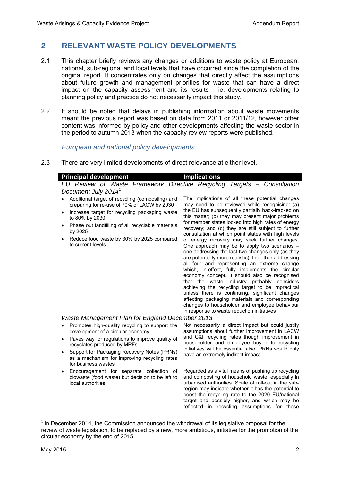## **2 RELEVANT WASTE POLICY DEVELOPMENTS**

- 2.1 This chapter briefly reviews any changes or additions to waste policy at European, national, sub-regional and local levels that have occurred since the completion of the original report. It concentrates only on changes that directly affect the assumptions about future growth and management priorities for waste that can have a direct impact on the capacity assessment and its results – ie. developments relating to planning policy and practice do not necessarily impact this study.
- 2.2 It should be noted that delays in publishing information about waste movements meant the previous report was based on data from 2011 or 2011/12, however other content was informed by policy and other developments affecting the waste sector in the period to autumn 2013 when the capacity review reports were published.

#### *European and national policy developments*

2.3 There are very limited developments of direct relevance at either level.

| <b>Principal development</b>                                                                                                                                                                                                                                                                                                  | <b>Implications</b>                                                                                                                                                                                                                                                                                                                                                                                                                                                                                                                                                                                                                                                                                                                                                                                                                                                                                                                                                                                      |
|-------------------------------------------------------------------------------------------------------------------------------------------------------------------------------------------------------------------------------------------------------------------------------------------------------------------------------|----------------------------------------------------------------------------------------------------------------------------------------------------------------------------------------------------------------------------------------------------------------------------------------------------------------------------------------------------------------------------------------------------------------------------------------------------------------------------------------------------------------------------------------------------------------------------------------------------------------------------------------------------------------------------------------------------------------------------------------------------------------------------------------------------------------------------------------------------------------------------------------------------------------------------------------------------------------------------------------------------------|
| EU Review of Waste Framework Directive Recycling                                                                                                                                                                                                                                                                              | Targets - Consultation                                                                                                                                                                                                                                                                                                                                                                                                                                                                                                                                                                                                                                                                                                                                                                                                                                                                                                                                                                                   |
| Document July 2014 <sup>1</sup>                                                                                                                                                                                                                                                                                               |                                                                                                                                                                                                                                                                                                                                                                                                                                                                                                                                                                                                                                                                                                                                                                                                                                                                                                                                                                                                          |
| Additional target of recycling (composting) and<br>preparing for re-use of 70% of LACW by 2030<br>Increase target for recycling packaging waste<br>$\bullet$<br>to 80% by 2030<br>Phase out landfilling of all recyclable materials<br>by 2025<br>Reduce food waste by 30% by 2025 compared<br>$\bullet$<br>to current levels | The implications of all these potential changes<br>may need to be reviewed while recognising: (a)<br>the EU has subsequently partially back-tracked on<br>this matter; (b) they may present major problems<br>for member states locked into high rates of energy<br>recovery; and (c) they are still subject to further<br>consultation at which point states with high levels<br>of energy recovery may seek further changes.<br>One approach may be to apply two scenarios -<br>one addressing the last two changes only (as they<br>are potentially more realistic); the other addressing<br>all four and representing an extreme change<br>which, in-effect, fully implements the circular<br>economy concept. It should also be recognised<br>that the waste industry probably considers<br>achieving the recycling target to be impractical<br>unless there is continuing, significant changes<br>affecting packaging materials and corresponding<br>changes to householder and employee behaviour |
|                                                                                                                                                                                                                                                                                                                               | in response to waste reduction initiatives                                                                                                                                                                                                                                                                                                                                                                                                                                                                                                                                                                                                                                                                                                                                                                                                                                                                                                                                                               |
| Waste Management Plan for England December 2013                                                                                                                                                                                                                                                                               |                                                                                                                                                                                                                                                                                                                                                                                                                                                                                                                                                                                                                                                                                                                                                                                                                                                                                                                                                                                                          |
| Promotes high-quality recycling to support the<br>development of a circular economy                                                                                                                                                                                                                                           | Not necessarily a direct impact but could justify<br>assumptions about further improvement in LACW                                                                                                                                                                                                                                                                                                                                                                                                                                                                                                                                                                                                                                                                                                                                                                                                                                                                                                       |
| Paves way for regulations to improve quality of<br>$\bullet$<br>recyclates produced by MRFs                                                                                                                                                                                                                                   | and C&I recycling rates though improvement in<br>householder and employee buy-in to recycling                                                                                                                                                                                                                                                                                                                                                                                                                                                                                                                                                                                                                                                                                                                                                                                                                                                                                                            |
| Support for Packaging Recovery Notes (PRNs)<br>$\bullet$<br>as a mechanism for improving recycling rates<br>for business wastes                                                                                                                                                                                               | initiatives will be essential also. PRNs would only<br>have an extremely indirect impact                                                                                                                                                                                                                                                                                                                                                                                                                                                                                                                                                                                                                                                                                                                                                                                                                                                                                                                 |

 Encouragement for separate collection of biowaste (food waste) but decision to be left to local authorities

Regarded as a vital means of pushing up recycling and composting of household waste, especially in urbanised authorities. Scale of roll-out in the subregion may indicate whether it has the potential to boost the recycling rate to the 2020 EU/national target and possibly higher, and which may be reflected in recycling assumptions for these

 $1$  In December 2014, the Commission announced the withdrawal of its legislative proposal for the review of waste legislation, to be replaced by a new, more ambitious, initiative for the promotion of the circular economy by the end of 2015.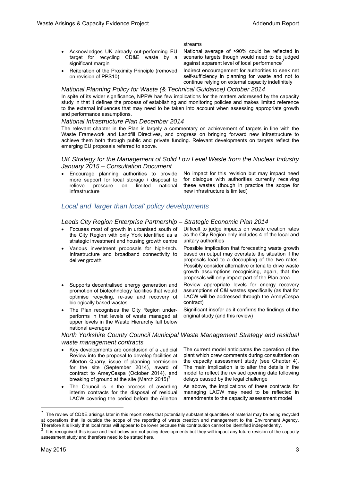#### streams

- Acknowledges UK already out-performing EU target for recycling CD&E waste by a significant margin
- Reiteration of the Proximity Principle (removed on revision of PPS10)
- National average of >90% could be reflected in scenario targets though would need to be judged against apparent level of local performance<sup>2</sup>
	- Indirect encouragement for authorities to seek net self-sufficiency in planning for waste and not to continue relying on external capacity indefinitely

#### *National Planning Policy for Waste (& Technical Guidance) October 2014*

In spite of its wider significance. NPPW has few implications for the matters addressed by the capacity study in that it defines the process of establishing and monitoring policies and makes limited reference to the external influences that may need to be taken into account when assessing appropriate growth and performance assumptions.

#### *National Infrastructure Plan December 2014*

The relevant chapter in the Plan is largely a commentary on achievement of targets in line with the Waste Framework and Landfill Directives, and progress on bringing forward new infrastructure to achieve them both through public and private funding. Relevant developments on targets reflect the emerging EU proposals referred to above.

#### *UK Strategy for the Management of Solid Low Level Waste from the Nuclear Industry January 2015 – Consultation Document*

 Encourage planning authorities to provide more support for local storage / disposal to relieve pressure on limited national infrastructure

No impact for this revision but may impact need for dialogue with authorities currently receiving these wastes (though in practice the scope for new infrastructure is limited)

#### *Local and 'larger than local' policy developments*

#### *Leeds City Region Enterprise Partnership – Strategic Economic Plan 2014*

- Focuses most of growth in urbanised south of the City Region with only York identified as a strategic investment and housing growth centre
- Various investment proposals for high-tech. Infrastructure and broadband connectivity to deliver growth

#### • Supports decentralised energy generation and promotion of biotechnology facilities that would

- optimise recycling, re-use and recovery of biologically based wastes
- The Plan recognises the City Region underperforms in that levels of waste managed at upper levels in the Waste Hierarchy fall below national averages

- Difficult to judge impacts on waste creation rates as the City Region only includes 4 of the local and unitary authorities
- Possible implication that forecasting waste growth based on output may overstate the situation if the proposals lead to a decoupling of the two rates. Possibly consider alternative criteria to drive waste growth assumptions recognising, again, that the proposals will only impact part of the Plan area
- Review appropriate levels for energy recovery assumptions of C&I wastes specifically (as that for LACW will be addressed through the AmeyCespa contract)
- Significant insofar as it confirms the findings of the original study (and this review)

#### *North Yorkshire County Council Municipal Waste Management Strategy and residual waste management contracts*

- Key developments are conclusion of a Judicial Review into the proposal to develop facilities at Allerton Quarry, issue of planning permission for the site (September 2014), award of contract to AmeyCespa (October 2014), and breaking of ground at the site (March 2015)<sup>3</sup>
- The Council is in the process of awarding interim contracts for the disposal of residual LACW covering the period before the Allerton

The current model anticipates the operation of the plant which drew comments during consultation on the capacity assessment study (see Chapter 4). The main implication is to alter the details in the model to reflect the revised opening date following delays caused by the legal challenge

As above, the implications of these contracts for managing LACW may need to be reflected in amendments to the capacity assessment model

<sup>2</sup> The review of CD&E arisings later in this report notes that potentially substantial quantities of material may be being recycled at operations that lie outside the scope of the reporting of waste creation and management to the Environment Agency. Therefore it is likely that local rates will appear to be lower because this contribution cannot be identified independently. <sup>3</sup>

It is recognised this issue and that below are not policy developments but they will impact any future revision of the capacity assessment study and therefore need to be stated here.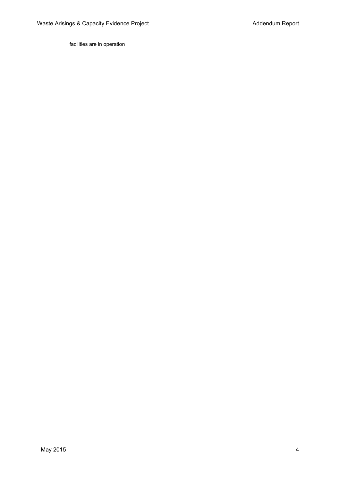facilities are in operation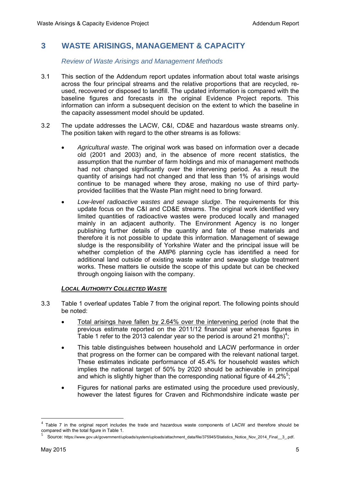## **3 WASTE ARISINGS, MANAGEMENT & CAPACITY**

*Review of Waste Arisings and Management Methods* 

- 3.1 This section of the Addendum report updates information about total waste arisings across the four principal streams and the relative proportions that are recycled, reused, recovered or disposed to landfill. The updated information is compared with the baseline figures and forecasts in the original Evidence Project reports. This information can inform a subsequent decision on the extent to which the baseline in the capacity assessment model should be updated.
- 3.2 The update addresses the LACW, C&I, CD&E and hazardous waste streams only. The position taken with regard to the other streams is as follows:
	- *Agricultural waste*. The original work was based on information over a decade old (2001 and 2003) and, in the absence of more recent statistics, the assumption that the number of farm holdings and mix of management methods had not changed significantly over the intervening period. As a result the quantity of arisings had not changed and that less than 1% of arisings would continue to be managed where they arose, making no use of third partyprovided facilities that the Waste Plan might need to bring forward.
	- *Low-level radioactive wastes and sewage sludge*. The requirements for this update focus on the C&I and CD&E streams. The original work identified very limited quantities of radioactive wastes were produced locally and managed mainly in an adjacent authority. The Environment Agency is no longer publishing further details of the quantity and fate of these materials and therefore it is not possible to update this information. Management of sewage sludge is the responsibility of Yorkshire Water and the principal issue will be whether completion of the AMP6 planning cycle has identified a need for additional land outside of existing waste water and sewage sludge treatment works. These matters lie outside the scope of this update but can be checked through ongoing liaison with the company.

#### *LOCAL AUTHORITY COLLECTED WASTE*

- 3.3 Table 1 overleaf updates Table 7 from the original report. The following points should be noted:
	- Total arisings have fallen by 2.64% over the intervening period (note that the previous estimate reported on the 2011/12 financial year whereas figures in Table 1 refer to the 2013 calendar year so the period is around 21 months)<sup>4</sup>;
	- This table distinguishes between household and LACW performance in order that progress on the former can be compared with the relevant national target. These estimates indicate performance of 45.4% for household wastes which implies the national target of 50% by 2020 should be achievable in principal and which is slightly higher than the corresponding national figure of 44.2% $5$ ;
	- Figures for national parks are estimated using the procedure used previously, however the latest figures for Craven and Richmondshire indicate waste per

 $4$  Table 7 in the original report includes the trade and hazardous waste components of LACW and therefore should be compared with the total figure in Table 1.

<sup>5</sup> Source: https://www.gov.uk/government/uploads/system/uploads/attachment\_data/file/375945/Statistics\_Notice\_Nov\_2014\_Final\_\_3\_.pdf.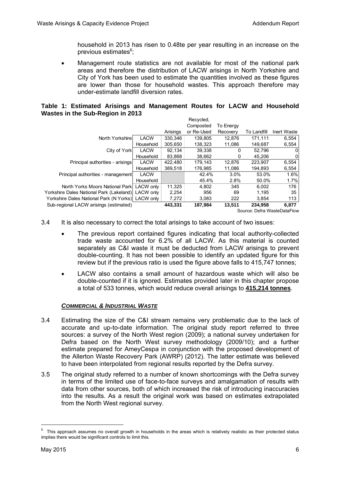household in 2013 has risen to 0.48te per year resulting in an increase on the previous estimates<sup>6</sup>;

 Management route statistics are not available for most of the national park areas and therefore the distribution of LACW arisings in North Yorkshire and City of York has been used to estimate the quantities involved as these figures are lower than those for household wastes. This approach therefore may under-estimate landfill diversion rates.

#### **Table 1: Estimated Arisings and Management Routes for LACW and Household Wastes in the Sub-Region in 2013**

|                                          |             |          | Recycled,  |           |             |                             |
|------------------------------------------|-------------|----------|------------|-----------|-------------|-----------------------------|
|                                          |             |          | Composted  | To Energy |             |                             |
|                                          |             | Arisings | or Re-Used | Recovery  | To Landfill | Inert Waste                 |
| North Yorkshire                          | <b>LACW</b> | 330.346  | 139.805    | 12.876    | 171.111     | 6,554                       |
|                                          | Household   | 305.650  | 138,323    | 11,086    | 149.687     | 6,554                       |
| City of York                             | <b>LACW</b> | 92.134   | 39,338     | 0         | 52,796      |                             |
|                                          | Household   | 83,868   | 38,662     | 0         | 45.206      |                             |
| Principal authorities - arisings         | <b>LACW</b> | 422,480  | 179,143    | 12,876    | 223,907     | 6,554                       |
|                                          | Household   | 389.518  | 176.985    | 11.086    | 194.893     | 6,554                       |
| Principal authorities - management       | <b>LACW</b> |          | 42.4%      | 3.0%      | 53.0%       | 1.6%                        |
|                                          | Household   |          | 45.4%      | 2.8%      | 50.0%       | 1.7%                        |
| North Yorks Moors National Park          | LACW only   | 11.325   | 4.802      | 345       | 6.002       | 176                         |
| Yorkshire Dales National Park (Lakeland) | LACW only   | 2,254    | 956        | 69        | 1.195       | 35                          |
| Yorkshire Dales National Park (N Yorks)  | LACW only   | 7,272    | 3,083      | 222       | 3.854       | 113                         |
| Sub-regional LACW arisings (estimated)   |             | 443,331  | 187,984    | 13,511    | 234.958     | 6,877                       |
|                                          |             |          |            |           |             | Source: Defra WasteDataFlow |

3.4 It is also necessary to correct the total arisings to take account of two issues:

- The previous report contained figures indicating that local authority-collected trade waste accounted for 6.2% of all LACW. As this material is counted separately as C&I waste it must be deducted from LACW arisings to prevent double-counting. It has not been possible to identify an updated figure for this review but if the previous ratio is used the figure above falls to 415,747 tonnes;
- LACW also contains a small amount of hazardous waste which will also be double-counted if it is ignored. Estimates provided later in this chapter propose a total of 533 tonnes, which would reduce overall arisings to **415,214 tonnes**.

#### *COMMERCIAL & INDUSTRIAL WASTE*

- 3.4 Estimating the size of the C&I stream remains very problematic due to the lack of accurate and up-to-date information. The original study report referred to three sources: a survey of the North West region (2009); a national survey undertaken for Defra based on the North West survey methodology (2009/10); and a further estimate prepared for AmeyCespa in conjunction with the proposed development of the Allerton Waste Recovery Park (AWRP) (2012). The latter estimate was believed to have been interpolated from regional results reported by the Defra survey.
- 3.5 The original study referred to a number of known shortcomings with the Defra survey in terms of the limited use of face-to-face surveys and amalgamation of results with data from other sources, both of which increased the risk of introducing inaccuracies into the results. As a result the original work was based on estimates extrapolated from the North West regional survey.

<sup>&</sup>lt;u>Fall this approach assumes no overall</u> growth in households in the areas which is relatively realistic as their protected status<br><sup>6</sup> This approach assumes no overall growth in households in the areas which is relatively r implies there would be significant controls to limit this.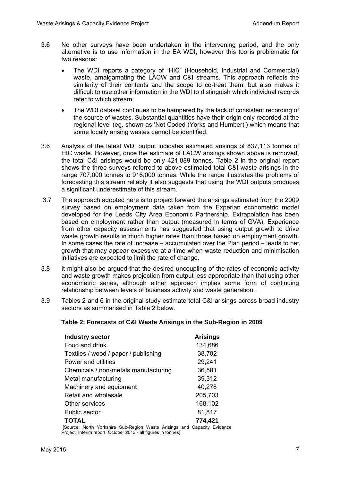- 3.6 No other surveys have been undertaken in the intervening period, and the only alternative is to use information in the EA WDI, however this too is problematic for two reasons:
	- The WDI reports a category of "HIC" (Household, Industrial and Commercial) waste, amalgamating the LACW and C&I streams. This approach reflects the similarity of their contents and the scope to co-treat them, but also makes it difficult to use other information in the WDI to distinguish which individual records refer to which stream;
	- The WDI dataset continues to be hampered by the lack of consistent recording of the source of wastes. Substantial quantities have their origin only recorded at the regional level (eg. shown as 'Not Coded (Yorks and Humber)') which means that some locally arising wastes cannot be identified.
- 3.6 Analysis of the latest WDI output indicates estimated arisings of 837,113 tonnes of HIC waste. However, once the estimate of LACW arisings shown above is removed, the total C&I arisings would be only 421,889 tonnes. Table 2 in the original report shows the three surveys referred to above estimated total C&I waste arisings in the range 707,000 tonnes to 916,000 tonnes. While the range illustrates the problems of forecasting this stream reliably it also suggests that using the WDI outputs produces a significant underestimate of this stream.
- 3.7 The approach adopted here is to project forward the arisings estimated from the 2009 survey based on employment data taken from the Experian econometric model developed for the Leeds City Area Economic Partnership. Extrapolation has been based on employment rather than output (measured in terms of GVA). Experience from other capacity assessments has suggested that using output growth to drive waste growth results in much higher rates than those based on employment growth. In some cases the rate of increase – accumulated over the Plan period – leads to net growth that may appear excessive at a time when waste reduction and minimisation initiatives are expected to limit the rate of change.
- 3.8 It might also be argued that the desired uncoupling of the rates of economic activity and waste growth makes projection from output less appropriate than that using other econometric series, although either approach implies some form of continuing relationship between levels of business activity and waste generation.
- 3.9 Tables 2 and 6 in the original study estimate total C&I arisings across broad industry sectors as summarised in Table 2 below.

#### **Table 2: Forecasts of C&I Waste Arisings in the Sub-Region in 2009**

| <b>Industry sector</b>                                                                                                                                                                                                                                                                                    | <b>Arisings</b> |
|-----------------------------------------------------------------------------------------------------------------------------------------------------------------------------------------------------------------------------------------------------------------------------------------------------------|-----------------|
| Food and drink                                                                                                                                                                                                                                                                                            | 134,686         |
| Textiles / wood / paper / publishing                                                                                                                                                                                                                                                                      | 38,702          |
| Power and utilities                                                                                                                                                                                                                                                                                       | 29,241          |
| Chemicals / non-metals manufacturing                                                                                                                                                                                                                                                                      | 36,581          |
| Metal manufacturing                                                                                                                                                                                                                                                                                       | 39,312          |
| Machinery and equipment                                                                                                                                                                                                                                                                                   | 40,278          |
| Retail and wholesale                                                                                                                                                                                                                                                                                      | 205,703         |
| Other services                                                                                                                                                                                                                                                                                            | 168,102         |
| <b>Public sector</b>                                                                                                                                                                                                                                                                                      | 81,817          |
| <b>TOTAL</b><br>$\mathbf{u}$ and $\mathbf{v}$ are all $\mathbf{v}$ and $\mathbf{v}$ are all $\mathbf{v}$ and $\mathbf{v}$ are all $\mathbf{v}$ and $\mathbf{v}$ are all $\mathbf{v}$ and $\mathbf{v}$ are all $\mathbf{v}$ and $\mathbf{v}$ are all $\mathbf{v}$ and $\mathbf{v}$ are all $\mathbf{v}$ an | 774,421         |

 [Source: North Yorkshire Sub-Region Waste Arisings and Capacity Evidence Project, Interim report, October 2013 - all figures in tonnes]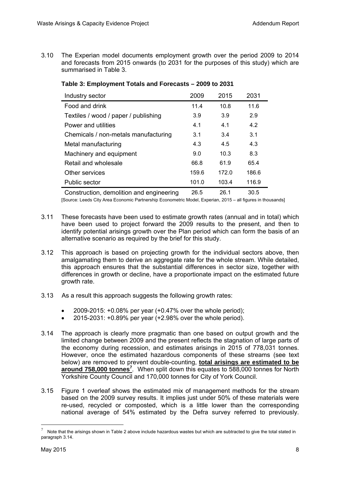3.10 The Experian model documents employment growth over the period 2009 to 2014 and forecasts from 2015 onwards (to 2031 for the purposes of this study) which are summarised in Table 3.

| Table 3: Employment Totals and Forecasts - 2009 to 2031 |  |
|---------------------------------------------------------|--|
|---------------------------------------------------------|--|

| Industry sector                          | 2009  | 2015  | 2031  |
|------------------------------------------|-------|-------|-------|
| Food and drink                           | 11.4  | 10.8  | 11.6  |
| Textiles / wood / paper / publishing     | 3.9   | 3.9   | 2.9   |
| Power and utilities                      | 4.1   | 4.1   | 4.2   |
| Chemicals / non-metals manufacturing     | 3.1   | 3.4   | 3.1   |
| Metal manufacturing                      | 4.3   | 4.5   | 4.3   |
| Machinery and equipment                  | 9.0   | 10.3  | 8.3   |
| Retail and wholesale                     | 66.8  | 61.9  | 65.4  |
| Other services                           | 159.6 | 172.0 | 186.6 |
| <b>Public sector</b>                     | 101.0 | 103.4 | 116.9 |
| Construction, demolition and engineering | 26.5  | 26.1  | 30.5  |

[Source: Leeds City Area Economic Partnership Econometric Model, Experian, 2015 – all figures in thousands]

- 3.11 These forecasts have been used to estimate growth rates (annual and in total) which have been used to project forward the 2009 results to the present, and then to identify potential arisings growth over the Plan period which can form the basis of an alternative scenario as required by the brief for this study.
- 3.12 This approach is based on projecting growth for the individual sectors above, then amalgamating them to derive an aggregate rate for the whole stream. While detailed, this approach ensures that the substantial differences in sector size, together with differences in growth or decline, have a proportionate impact on the estimated future growth rate.
- 3.13 As a result this approach suggests the following growth rates:
	- 2009-2015: +0.08% per year (+0.47% over the whole period);
	- 2015-2031: +0.89% per year (+2.98% over the whole period).
- 3.14 The approach is clearly more pragmatic than one based on output growth and the limited change between 2009 and the present reflects the stagnation of large parts of the economy during recession, and estimates arisings in 2015 of 778,031 tonnes. However, once the estimated hazardous components of these streams (see text below) are removed to prevent double-counting, **total arisings are estimated to be**  around 758,000 tonnes<sup>7</sup>. When split down this equates to 588,000 tonnes for North Yorkshire County Council and 170,000 tonnes for City of York Council.
- 3.15 Figure 1 overleaf shows the estimated mix of management methods for the stream based on the 2009 survey results. It implies just under 50% of these materials were re-used, recycled or composted, which is a little lower than the corresponding national average of 54% estimated by the Defra survey referred to previously.

<sup>7</sup> Note that the arisings shown in Table 2 above include hazardous wastes but which are subtracted to give the total stated in paragraph 3.14.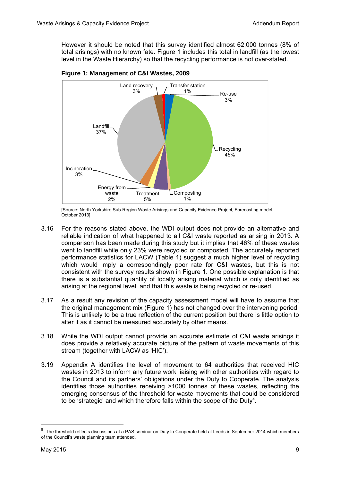However it should be noted that this survey identified almost 62,000 tonnes (8% of total arisings) with no known fate. Figure 1 includes this total in landfill (as the lowest level in the Waste Hierarchy) so that the recycling performance is not over-stated.



**Figure 1: Management of C&I Wastes, 2009** 

- 3.16 For the reasons stated above, the WDI output does not provide an alternative and reliable indication of what happened to all C&I waste reported as arising in 2013. A comparison has been made during this study but it implies that 46% of these wastes went to landfill while only 23% were recycled or composted. The accurately reported performance statistics for LACW (Table 1) suggest a much higher level of recycling which would imply a correspondingly poor rate for C&I wastes, but this is not consistent with the survey results shown in Figure 1. One possible explanation is that there is a substantial quantity of locally arising material which is only identified as arising at the regional level, and that this waste is being recycled or re-used.
- 3.17 As a result any revision of the capacity assessment model will have to assume that the original management mix (Figure 1) has not changed over the intervening period. This is unlikely to be a true reflection of the current position but there is little option to alter it as it cannot be measured accurately by other means.
- 3.18 While the WDI output cannot provide an accurate estimate of C&I waste arisings it does provide a relatively accurate picture of the pattern of waste movements of this stream (together with LACW as 'HIC').
- 3.19 Appendix A identifies the level of movement to 64 authorities that received HIC wastes in 2013 to inform any future work liaising with other authorities with regard to the Council and its partners' obligations under the Duty to Cooperate. The analysis identifies those authorities receiving >1000 tonnes of these wastes, reflecting the emerging consensus of the threshold for waste movements that could be considered to be 'strategic' and which therefore falls within the scope of the Duty<sup>8</sup>.

<sup>[</sup>Source: North Yorkshire Sub-Region Waste Arisings and Capacity Evidence Project, Forecasting model, October 2013]

 $^8$  The threshold reflects discussions at a PAS seminar on Duty to Cooperate held at Leeds in September 2014 which members of the Council's waste planning team attended.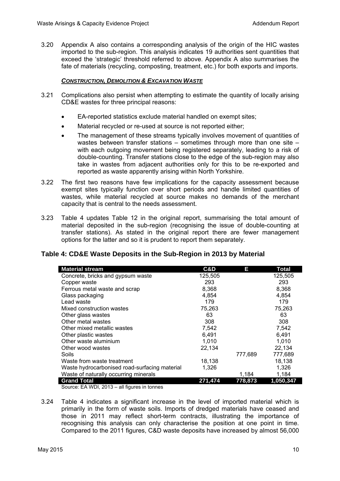3.20 Appendix A also contains a corresponding analysis of the origin of the HIC wastes imported to the sub-region. This analysis indicates 19 authorities sent quantities that exceed the 'strategic' threshold referred to above. Appendix A also summarises the fate of materials (recycling, composting, treatment, etc.) for both exports and imports.

#### *CONSTRUCTION, DEMOLITION & EXCAVATION WASTE*

- 3.21 Complications also persist when attempting to estimate the quantity of locally arising CD&E wastes for three principal reasons:
	- EA-reported statistics exclude material handled on exempt sites;
	- Material recycled or re-used at source is not reported either;
	- The management of these streams typically involves movement of quantities of wastes between transfer stations – sometimes through more than one site – with each outgoing movement being registered separately, leading to a risk of double-counting. Transfer stations close to the edge of the sub-region may also take in wastes from adjacent authorities only for this to be re-exported and reported as waste apparently arising within North Yorkshire.
- 3.22 The first two reasons have few implications for the capacity assessment because exempt sites typically function over short periods and handle limited quantities of wastes, while material recycled at source makes no demands of the merchant capacity that is central to the needs assessment.
- 3.23 Table 4 updates Table 12 in the original report, summarising the total amount of material deposited in the sub-region (recognising the issue of double-counting at transfer stations). As stated in the original report there are fewer management options for the latter and so it is prudent to report them separately.

#### **Table 4: CD&E Waste Deposits in the Sub-Region in 2013 by Material**

| <b>Material stream</b>                        | C&D     | Е       | Total     |
|-----------------------------------------------|---------|---------|-----------|
| Concrete, bricks and gypsum waste             | 125,505 |         | 125,505   |
| Copper waste                                  | 293     |         | 293       |
| Ferrous metal waste and scrap                 | 8,368   |         | 8,368     |
| Glass packaging                               | 4,854   |         | 4,854     |
| Lead waste                                    | 179     |         | 179       |
| Mixed construction wastes                     | 75,263  |         | 75,263    |
| Other glass wastes                            | 63      |         | 63        |
| Other metal wastes                            | 308     |         | 308       |
| Other mixed metallic wastes                   | 7,542   |         | 7,542     |
| Other plastic wastes                          | 6,491   |         | 6,491     |
| Other waste aluminium                         | 1,010   |         | 1,010     |
| Other wood wastes                             | 22,134  |         | 22,134    |
| Soils                                         |         | 777,689 | 777,689   |
| Waste from waste treatment                    | 18,138  |         | 18,138    |
| Waste hydrocarbonised road-surfacing material | 1,326   |         | 1,326     |
| Waste of naturally occurring minerals         |         | 1,184   | 1,184     |
| <b>Grand Total</b>                            | 271,474 | 778,873 | 1,050,347 |

Source: EA WDI, 2013 – all figures in tonnes

3.24 Table 4 indicates a significant increase in the level of imported material which is primarily in the form of waste soils. Imports of dredged materials have ceased and those in 2011 may reflect short-term contracts, illustrating the importance of recognising this analysis can only characterise the position at one point in time. Compared to the 2011 figures, C&D waste deposits have increased by almost 56,000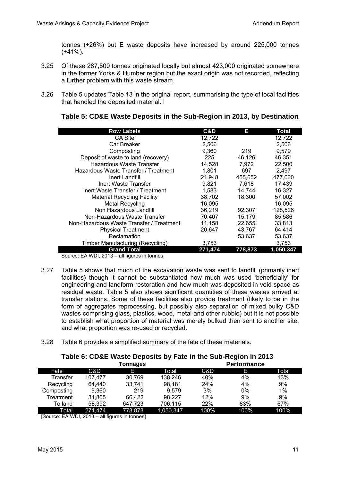tonnes (+26%) but E waste deposits have increased by around 225,000 tonnes  $(+41\%)$ .

- 3.25 Of these 287,500 tonnes originated locally but almost 423,000 originated somewhere in the former Yorks & Humber region but the exact origin was not recorded, reflecting a further problem with this waste stream.
- 3.26 Table 5 updates Table 13 in the original report, summarising the type of local facilities that handled the deposited material. I

| <b>Row Labels</b>                            | C&D     | Е       | Total     |
|----------------------------------------------|---------|---------|-----------|
| CA Site                                      | 12,722  |         | 12,722    |
| Car Breaker                                  | 2,506   |         | 2,506     |
| Composting                                   | 9,360   | 219     | 9,579     |
| Deposit of waste to land (recovery)          | 225     | 46,126  | 46,351    |
| Hazardous Waste Transfer                     | 14,528  | 7,972   | 22,500    |
| Hazardous Waste Transfer / Treatment         | 1.801   | 697     | 2,497     |
| Inert Landfill                               | 21,948  | 455,652 | 477,600   |
| Inert Waste Transfer                         | 9,821   | 7,618   | 17,439    |
| Inert Waste Transfer / Treatment             | 1,583   | 14,744  | 16,327    |
| <b>Material Recycling Facility</b>           | 38,702  | 18,300  | 57,002    |
| <b>Metal Recycling</b>                       | 16,095  |         | 16,095    |
| Non Hazardous Landfill                       | 36,219  | 92,307  | 128,526   |
| Non-Hazardous Waste Transfer                 | 70,407  | 15,179  | 85,586    |
| Non-Hazardous Waste Transfer / Treatment     | 11,158  | 22,655  | 33,813    |
| <b>Physical Treatment</b>                    | 20,647  | 43,767  | 64,414    |
| Reclamation                                  |         | 53,637  | 53,637    |
| Timber Manufacturing (Recycling)             | 3,753   |         | 3,753     |
| <b>Grand Total</b>                           | 271.474 | 778.873 | 1.050.347 |
| Source: EA WDI, 2013 – all figures in tonnes |         |         |           |

#### **Table 5: CD&E Waste Deposits in the Sub-Region in 2013, by Destination**

- 3.27 Table 5 shows that much of the excavation waste was sent to landfill (primarily inert facilities) though it cannot be substantiated how much was used 'beneficially' for engineering and landform restoration and how much was deposited in void space as residual waste. Table 5 also shows significant quantities of these wastes arrived at transfer stations. Some of these facilities also provide treatment (likely to be in the form of aggregates reprocessing, but possibly also separation of mixed bulky C&D wastes comprising glass, plastics, wood, metal and other rubble) but it is not possible to establish what proportion of material was merely bulked then sent to another site, and what proportion was re-used or recycled.
- 3.28 Table 6 provides a simplified summary of the fate of these materials.

## **Table 6: CD&E Waste Deposits by Fate in the Sub-Region in 2013**

|                                                  |         | Tonnages |           |      | <b>Performance</b> |       |
|--------------------------------------------------|---------|----------|-----------|------|--------------------|-------|
| Fate                                             | C&D     | Е        | Total     | C&D  | E                  | Total |
| Transfer                                         | 107,477 | 30,769   | 138,246   | 40%  | 4%                 | 13%   |
| Recycling                                        | 64,440  | 33,741   | 98,181    | 24%  | 4%                 | 9%    |
| Composting                                       | 9.360   | 219      | 9,579     | 3%   | $0\%$              | $1\%$ |
| Treatment                                        | 31.805  | 66.422   | 98.227    | 12%  | 9%                 | 9%    |
| To land                                          | 58.392  | 647,723  | 706,115   | 22%  | 83%                | 67%   |
| Total                                            | 271,474 | 778,873  | 1,050,347 | 100% | 100%               | 100%  |
| $\sim$ $\sim$ $\sim$ $\sim$ $\sim$ $\sim$ $\sim$ | 0.010   |          |           |      |                    |       |

[Source: EA WDI, 2013 – all figures in tonnes]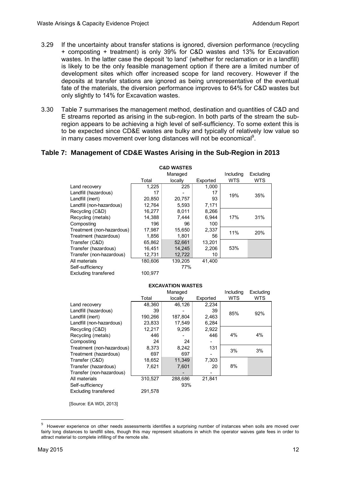- 3.29 If the uncertainty about transfer stations is ignored, diversion performance (recycling + composting + treatment) is only 39% for C&D wastes and 13% for Excavation wastes. In the latter case the deposit 'to land' (whether for reclamation or in a landfill) is likely to be the only feasible management option if there are a limited number of development sites which offer increased scope for land recovery. However if the deposits at transfer stations are ignored as being unrepresentative of the eventual fate of the materials, the diversion performance improves to 64% for C&D wastes but only slightly to 14% for Excavation wastes.
- 3.30 Table 7 summarises the management method, destination and quantities of C&D and E streams reported as arising in the sub-region. In both parts of the stream the subregion appears to be achieving a high level of self-sufficiency. To some extent this is to be expected since CD&E wastes are bulky and typically of relatively low value so in many cases movement over long distances will not be economical<sup>9</sup>.

#### **Table 7: Management of CD&E Wastes Arising in the Sub-Region in 2013**

| <b>C&amp;D WASTES</b>       |         |         |          |            |            |  |
|-----------------------------|---------|---------|----------|------------|------------|--|
|                             |         | Managed |          | Including  | Excluding  |  |
|                             | Total   | locally | Exported | <b>WTS</b> | <b>WTS</b> |  |
| Land recovery               | 1,225   | 225     | 1,000    |            |            |  |
| Landfill (hazardous)        | 17      |         | 17       | 19%        | 35%        |  |
| Landfill (inert)            | 20,850  | 20,757  | 93       |            |            |  |
| Landfill (non-hazardous)    | 12,764  | 5,593   | 7,171    |            |            |  |
| Recycling (C&D)             | 16,277  | 8.011   | 8,266    |            |            |  |
| Recycling (metals)          | 14,388  | 7.444   | 6,944    | 17%        | 31%        |  |
| Composting                  | 196     | 96      | 100      |            |            |  |
| Treatment (non-hazardous)   | 17,987  | 15,650  | 2,337    | 11%        | 20%        |  |
| Treatment (hazardous)       | 1,856   | 1,801   | 56       |            |            |  |
| Transfer (C&D)              | 65,862  | 52,661  | 13,201   |            |            |  |
| Transfer (hazardous)        | 16,451  | 14.245  | 2,206    | 53%        |            |  |
| Transfer (non-hazardous)    | 12,731  | 12,722  | 10       |            |            |  |
| All materials               | 180,606 | 139,205 | 41.400   |            |            |  |
| Self-sufficiency            |         | 77%     |          |            |            |  |
| <b>Excluding transfered</b> | 100.977 |         |          |            |            |  |

| <b>EXCAVATION WASTES</b> |         |           |            |            |  |
|--------------------------|---------|-----------|------------|------------|--|
|                          | Managed | Including | Excluding  |            |  |
| Total                    | locally | Exported  | <b>WTS</b> | <b>WTS</b> |  |
| 48,360                   | 46,126  | 2,234     |            |            |  |
| 39                       |         | 39        |            | 92%        |  |
| 190,266                  | 187,804 | 2,463     |            |            |  |
| 23,833                   | 17,549  | 6,284     |            |            |  |
| 12,217                   | 9,295   | 2,922     |            |            |  |
| 446                      |         | 446       | 4%         | 4%         |  |
| 24                       | 24      |           |            |            |  |
| 8,373                    | 8,242   | 131       |            | 3%         |  |
| 697                      | 697     |           |            |            |  |
| 18,652                   | 11,349  | 7,303     |            |            |  |
| 7,621                    | 7,601   | 20        | 8%         |            |  |
|                          |         |           |            |            |  |
| 310.527                  | 288,686 | 21,841    |            |            |  |
|                          | 93%     |           |            |            |  |
| 291,578                  |         |           |            |            |  |
|                          |         |           |            | 85%<br>3%  |  |

[Source: EA WDI, 2013]

 $9$  However experience on other needs assessments identifies a surprising number of instances when soils are moved over fairly long distances to landfill sites, though this may represent situations in which the operator waives gate fees in order to attract material to complete infilling of the remote site.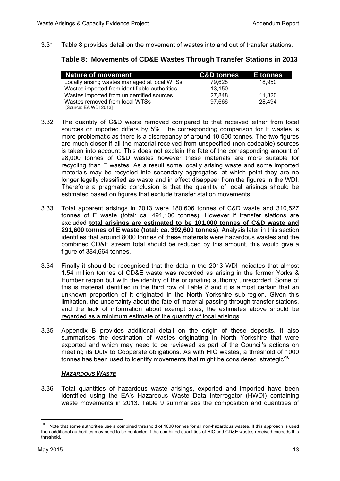3.31 Table 8 provides detail on the movement of wastes into and out of transfer stations.

#### **Table 8: Movements of CD&E Wastes Through Transfer Stations in 2013**

| Nature of movement                            | <b>C&amp;D tonnes</b> | <b>E</b> tonnes          |
|-----------------------------------------------|-----------------------|--------------------------|
| Locally arising wastes managed at local WTSs  | 79.628                | 18.950                   |
| Wastes imported from identifiable authorities | 13.150                | $\overline{\phantom{a}}$ |
| Wastes imported from unidentified sources     | 27.848                | 11,820                   |
| Wastes removed from local WTSs                | 97.666                | 28,494                   |
| [Source: EA WDI 2013]                         |                       |                          |

- 3.32 The quantity of C&D waste removed compared to that received either from local sources or imported differs by 5%. The corresponding comparison for E wastes is more problematic as there is a discrepancy of around 10,500 tonnes. The two figures are much closer if all the material received from unspecified (non-codeable) sources is taken into account. This does not explain the fate of the corresponding amount of 28,000 tonnes of C&D wastes however these materials are more suitable for recycling than E wastes. As a result some locally arising waste and some imported materials may be recycled into secondary aggregates, at which point they are no longer legally classified as waste and in effect disappear from the figures in the WDI. Therefore a pragmatic conclusion is that the quantity of local arisings should be estimated based on figures that exclude transfer station movements.
- 3.33 Total apparent arisings in 2013 were 180,606 tonnes of C&D waste and 310,527 tonnes of E waste (total: ca. 491,100 tonnes). However if transfer stations are excluded **total arisings are estimated to be 101,000 tonnes of C&D waste and 291,600 tonnes of E waste (total: ca. 392,600 tonnes)**. Analysis later in this section identifies that around 8000 tonnes of these materials were hazardous wastes and the combined CD&E stream total should be reduced by this amount, this would give a figure of 384,664 tonnes.
- 3.34 Finally it should be recognised that the data in the 2013 WDI indicates that almost 1.54 million tonnes of CD&E waste was recorded as arising in the former Yorks & Humber region but with the identity of the originating authority unrecorded. Some of this is material identified in the third row of Table 8 and it is almost certain that an unknown proportion of it originated in the North Yorkshire sub-region. Given this limitation, the uncertainty about the fate of material passing through transfer stations, and the lack of information about exempt sites, the estimates above should be regarded as a minimum estimate of the quantity of local arisings.
- 3.35 Appendix B provides additional detail on the origin of these deposits. It also summarises the destination of wastes originating in North Yorkshire that were exported and which may need to be reviewed as part of the Council's actions on meeting its Duty to Cooperate obligations. As with HIC wastes, a threshold of 1000 tonnes has been used to identify movements that might be considered 'strategic'<sup>10</sup>.

#### *HAZARDOUS WASTE*

3.36 Total quantities of hazardous waste arisings, exported and imported have been identified using the EA's Hazardous Waste Data Interrogator (HWDI) containing waste movements in 2013. Table 9 summarises the composition and quantities of

Note that some authorities use a combined threshold of 1000 tonnes for all non-hazardous wastes. If this approach is used then additional authorities may need to be contacted if the combined quantities of HIC and CD&E wastes received exceeds this threshold.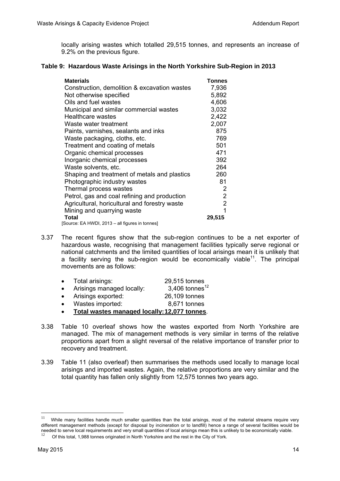locally arising wastes which totalled 29,515 tonnes, and represents an increase of 9.2% on the previous figure.

#### **Table 9: Hazardous Waste Arisings in the North Yorkshire Sub-Region in 2013**

| <b>Materials</b>                                | <b>Tonnes</b>  |
|-------------------------------------------------|----------------|
| Construction, demolition & excavation wastes    | 7,936          |
| Not otherwise specified                         | 5,892          |
| Oils and fuel wastes                            | 4,606          |
| Municipal and similar commercial wastes         | 3,032          |
| <b>Healthcare wastes</b>                        | 2,422          |
| Waste water treatment                           | 2,007          |
| Paints, varnishes, sealants and inks            | 875            |
| Waste packaging, cloths, etc.                   | 769            |
| Treatment and coating of metals                 | 501            |
| Organic chemical processes                      | 471            |
| Inorganic chemical processes                    | 392            |
| Waste solvents, etc.                            | 264            |
| Shaping and treatment of metals and plastics    | 260            |
| Photographic industry wastes                    | 81             |
| Thermal process wastes                          | 2              |
| Petrol, gas and coal refining and production    | $\overline{2}$ |
| Agricultural, horicultural and forestry waste   | $\overline{2}$ |
| Mining and quarrying waste                      | 1              |
| Total                                           | 29,515         |
| [Source: EA HWDI, 2013 - all figures in tonnes] |                |

3.37 The recent figures show that the sub-region continues to be a net exporter of hazardous waste, recognising that management facilities typically serve regional or national catchments and the limited quantities of local arisings mean it is unlikely that a facility serving the sub-region would be economically viable<sup>11</sup>. The principal movements are as follows:

| $\bullet$ | Total wastes managed locally: 12,077 tonnes. |               |                            |
|-----------|----------------------------------------------|---------------|----------------------------|
| $\bullet$ | Wastes imported:                             |               | 8,671 tonnes               |
| $\bullet$ | Arisings exported:                           | 26,109 tonnes |                            |
| $\bullet$ | Arisings managed locally:                    |               | 3,406 tonnes <sup>12</sup> |
| $\bullet$ | Total arisings:                              | 29,515 tonnes |                            |

- 3.38 Table 10 overleaf shows how the wastes exported from North Yorkshire are managed. The mix of management methods is very similar in terms of the relative proportions apart from a slight reversal of the relative importance of transfer prior to recovery and treatment.
- 3.39 Table 11 (also overleaf) then summarises the methods used locally to manage local arisings and imported wastes. Again, the relative proportions are very similar and the total quantity has fallen only slightly from 12,575 tonnes two years ago.

 $11\,$ While many facilities handle much smaller quantities than the total arisings, most of the material streams require very different management methods (except for disposal by incineration or to landfill) hence a range of several facilities would be needed to serve local requirements and very small quantities of local arisings mean this is unlikely to be economically viable.<br><sup>12</sup> Of this total, 1,988 tonnes originated in North Yorkshire and the rest in the City of Yor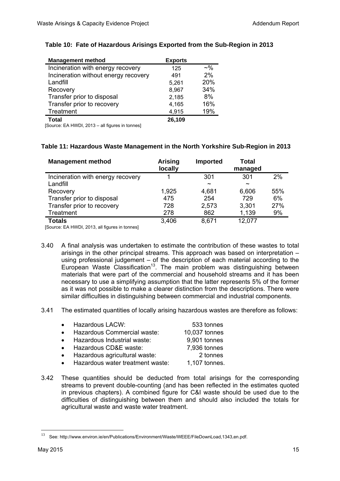| <b>Management method</b>             | <b>Exports</b> |      |
|--------------------------------------|----------------|------|
| Incineration with energy recovery    | 125            | ~100 |
| Incineration without energy recovery | 491            | 2%   |
| Landfill                             | 5,261          | 20%  |
| Recovery                             | 8,967          | 34%  |
| Transfer prior to disposal           | 2,185          | 8%   |
| Transfer prior to recovery           | 4,165          | 16%  |
| Treatment                            | 4,915          | 19%  |
| Total                                | 26,109         |      |

#### **Table 10: Fate of Hazardous Arisings Exported from the Sub-Region in 2013**

[Source: EA HWDI, 2013 – all figures in tonnes]

#### **Table 11: Hazardous Waste Management in the North Yorkshire Sub-Region in 2013**

| <b>Management method</b>          | <b>Arising</b><br>locally | <b>Imported</b>       | Total<br>managed      |     |
|-----------------------------------|---------------------------|-----------------------|-----------------------|-----|
| Incineration with energy recovery |                           | 301                   | 301                   | 2%  |
| Landfill                          |                           | $\tilde{\phantom{a}}$ | $\tilde{\phantom{a}}$ |     |
| Recovery                          | 1,925                     | 4,681                 | 6,606                 | 55% |
| Transfer prior to disposal        | 475                       | 254                   | 729                   | 6%  |
| Transfer prior to recovery        | 728                       | 2,573                 | 3,301                 | 27% |
| Treatment                         | 278                       | 862                   | 1,139                 | 9%  |
| <b>Totals</b>                     | 3,406                     | 8,671                 | 12,077                |     |

[Source: EA HWDI, 2013, all figures in tonnes]

- 3.40 A final analysis was undertaken to estimate the contribution of these wastes to total arisings in the other principal streams. This approach was based on interpretation – using professional judgement – of the description of each material according to the European Waste Classification<sup>13</sup>. The main problem was distinguishing between materials that were part of the commercial and household streams and it has been necessary to use a simplifying assumption that the latter represents 5% of the former as it was not possible to make a clearer distinction from the descriptions. There were similar difficulties in distinguishing between commercial and industrial components.
- 3.41 The estimated quantities of locally arising hazardous wastes are therefore as follows:

| $\bullet$ | Hazardous LACW:                  | 533 tonnes    |
|-----------|----------------------------------|---------------|
| $\bullet$ | Hazardous Commercial waste:      | 10,037 tonnes |
|           | • Hazardous Industrial waste:    | 9,901 tonnes  |
|           | • Hazardous CD&E waste:          | 7,936 tonnes  |
| $\bullet$ | Hazardous agricultural waste:    | 2 tonnes      |
| $\bullet$ | Hazardous water treatment waste: | 1,107 tonnes. |
|           |                                  |               |

3.42 These quantities should be deducted from total arisings for the corresponding streams to prevent double-counting (and has been reflected in the estimates quoted in previous chapters). A combined figure for C&I waste should be used due to the difficulties of distinguishing between them and should also included the totals for agricultural waste and waste water treatment.

<sup>13</sup> See: http://www.environ.ie/en/Publications/Environment/Waste/WEEE/FileDownLoad,1343,en.pdf.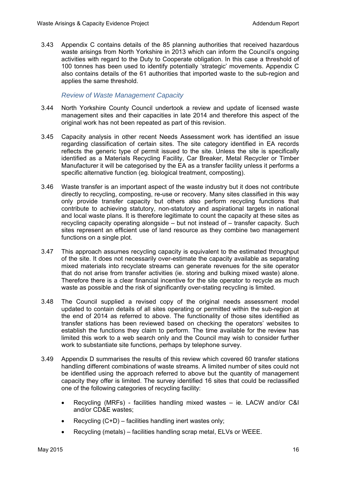3.43 Appendix C contains details of the 85 planning authorities that received hazardous waste arisings from North Yorkshire in 2013 which can inform the Council's ongoing activities with regard to the Duty to Cooperate obligation. In this case a threshold of 100 tonnes has been used to identify potentially 'strategic' movements. Appendix C also contains details of the 61 authorities that imported waste to the sub-region and applies the same threshold.

#### *Review of Waste Management Capacity*

- 3.44 North Yorkshire County Council undertook a review and update of licensed waste management sites and their capacities in late 2014 and therefore this aspect of the original work has not been repeated as part of this revision.
- 3.45 Capacity analysis in other recent Needs Assessment work has identified an issue regarding classification of certain sites. The site category identified in EA records reflects the generic type of permit issued to the site. Unless the site is specifically identified as a Materials Recycling Facility, Car Breaker, Metal Recycler or Timber Manufacturer it will be categorised by the EA as a transfer facility unless it performs a specific alternative function (eg. biological treatment, composting).
- 3.46 Waste transfer is an important aspect of the waste industry but it does not contribute directly to recycling, composting, re-use or recovery. Many sites classified in this way only provide transfer capacity but others also perform recycling functions that contribute to achieving statutory, non-statutory and aspirational targets in national and local waste plans. It is therefore legitimate to count the capacity at these sites as recycling capacity operating alongside – but not instead of – transfer capacity. Such sites represent an efficient use of land resource as they combine two management functions on a single plot.
- 3.47 This approach assumes recycling capacity is equivalent to the estimated throughput of the site. It does not necessarily over-estimate the capacity available as separating mixed materials into recyclate streams can generate revenues for the site operator that do not arise from transfer activities (ie. storing and bulking mixed waste) alone. Therefore there is a clear financial incentive for the site operator to recycle as much waste as possible and the risk of significantly over-stating recycling is limited.
- 3.48 The Council supplied a revised copy of the original needs assessment model updated to contain details of all sites operating or permitted within the sub-region at the end of 2014 as referred to above. The functionality of those sites identified as transfer stations has been reviewed based on checking the operators' websites to establish the functions they claim to perform. The time available for the review has limited this work to a web search only and the Council may wish to consider further work to substantiate site functions, perhaps by telephone survey.
- 3.49 Appendix D summarises the results of this review which covered 60 transfer stations handling different combinations of waste streams. A limited number of sites could not be identified using the approach referred to above but the quantity of management capacity they offer is limited. The survey identified 16 sites that could be reclassified one of the following categories of recycling facility:
	- Recycling (MRFs) facilities handling mixed wastes ie. LACW and/or C&I and/or CD&E wastes;
	- Recycling (C+D) facilities handling inert wastes only;
	- Recycling (metals) facilities handling scrap metal, ELVs or WEEE.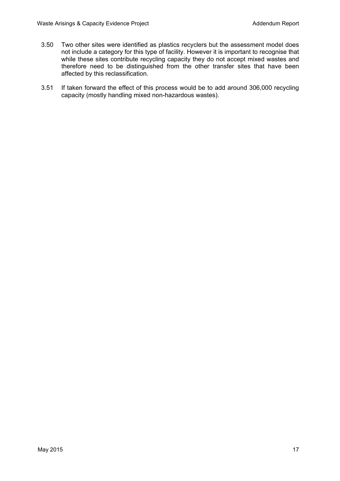- 3.50 Two other sites were identified as plastics recyclers but the assessment model does not include a category for this type of facility. However it is important to recognise that while these sites contribute recycling capacity they do not accept mixed wastes and therefore need to be distinguished from the other transfer sites that have been affected by this reclassification.
- 3.51 If taken forward the effect of this process would be to add around 306,000 recycling capacity (mostly handling mixed non-hazardous wastes).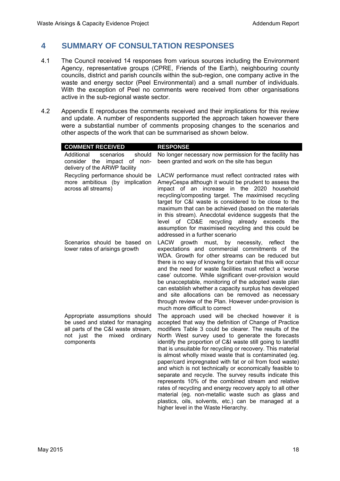## **4 SUMMARY OF CONSULTATION RESPONSES**

- 4.1 The Council received 14 responses from various sources including the Environment Agency, representative groups (CPRE, Friends of the Earth), neighbouring county councils, district and parish councils within the sub-region, one company active in the waste and energy sector (Peel Environmental) and a small number of individuals. With the exception of Peel no comments were received from other organisations active in the sub-regional waste sector.
- 4.2 Appendix E reproduces the comments received and their implications for this review and update. A number of respondents supported the approach taken however there were a substantial number of comments proposing changes to the scenarios and other aspects of the work that can be summarised as shown below.

| <b>COMMENT RECEIVED</b>                                                                                                                                 | <b>RESPONSE</b>                                                                                                                                                                                                                                                                                                                                                                                                                                                                                                                                                                                                                                                                                                                                                                                                                                                           |
|---------------------------------------------------------------------------------------------------------------------------------------------------------|---------------------------------------------------------------------------------------------------------------------------------------------------------------------------------------------------------------------------------------------------------------------------------------------------------------------------------------------------------------------------------------------------------------------------------------------------------------------------------------------------------------------------------------------------------------------------------------------------------------------------------------------------------------------------------------------------------------------------------------------------------------------------------------------------------------------------------------------------------------------------|
| Additional<br>should<br>scenarios<br>consider the<br>impact<br>of<br>non-<br>delivery of the ARWP facility                                              | No longer necessary now permission for the facility has<br>been granted and work on the site has begun                                                                                                                                                                                                                                                                                                                                                                                                                                                                                                                                                                                                                                                                                                                                                                    |
| Recycling performance should be<br>more ambitious (by implication<br>across all streams)                                                                | LACW performance must reflect contracted rates with<br>AmeyCespa although it would be prudent to assess the<br>impact of an increase in the 2020 household<br>recycling/composting target. The maximised recycling<br>target for C&I waste is considered to be close to the<br>maximum that can be achieved (based on the materials<br>in this stream). Anecdotal evidence suggests that the<br>of CD&E recycling already exceeds the<br>level<br>assumption for maximised recycling and this could be<br>addressed in a further scenario                                                                                                                                                                                                                                                                                                                                 |
| Scenarios should be based on<br>lower rates of arisings growth                                                                                          | LACW growth must, by necessity, reflect<br>the<br>expectations and commercial commitments of the<br>WDA. Growth for other streams can be reduced but<br>there is no way of knowing for certain that this will occur<br>and the need for waste facilities must reflect a 'worse<br>case' outcome. While significant over-provision would<br>be unacceptable, monitoring of the adopted waste plan<br>can establish whether a capacity surplus has developed<br>and site allocations can be removed as necessary<br>through review of the Plan. However under-provision is<br>much more difficult to correct                                                                                                                                                                                                                                                                |
| Appropriate assumptions should<br>be used and stated for managing<br>all parts of the C&I waste stream,<br>not just the<br>mixed ordinary<br>components | The approach used will be checked however it is<br>accepted that way the definition of Change of Practice<br>modifiers Table 3 could be clearer. The results of the<br>North West survey used to generate the forecasts<br>identify the proportion of C&I waste still going to landfill<br>that is unsuitable for recycling or recovery. This material<br>is almost wholly mixed waste that is contaminated (eg.<br>paper/card impregnated with fat or oil from food waste)<br>and which is not technically or economically feasible to<br>separate and recycle. The survey results indicate this<br>represents 10% of the combined stream and relative<br>rates of recycling and energy recovery apply to all other<br>material (eg. non-metallic waste such as glass and<br>plastics, oils, solvents, etc.) can be managed at a<br>higher level in the Waste Hierarchy. |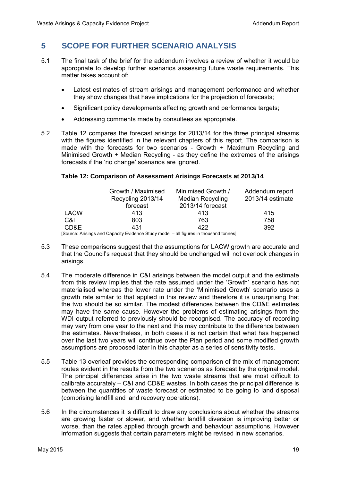## **5 SCOPE FOR FURTHER SCENARIO ANALYSIS**

- 5.1 The final task of the brief for the addendum involves a review of whether it would be appropriate to develop further scenarios assessing future waste requirements. This matter takes account of:
	- Latest estimates of stream arisings and management performance and whether they show changes that have implications for the projection of forecasts;
	- Significant policy developments affecting growth and performance targets;
	- Addressing comments made by consultees as appropriate.
- 5.2 Table 12 compares the forecast arisings for 2013/14 for the three principal streams with the figures identified in the relevant chapters of this report. The comparison is made with the forecasts for two scenarios - Growth + Maximum Recycling and Minimised Growth + Median Recycling - as they define the extremes of the arisings forecasts if the 'no change' scenarios are ignored.

#### **Table 12: Comparison of Assessment Arisings Forecasts at 2013/14**

|             | Growth / Maximised | Minimised Growth /      | Addendum report  |
|-------------|--------------------|-------------------------|------------------|
|             | Recycling 2013/14  | <b>Median Recycling</b> | 2013/14 estimate |
|             | forecast           | 2013/14 forecast        |                  |
| <b>LACW</b> | 413                | 413                     | 415              |
| C&I         | 803                | 763                     | 758              |
| CD&E        | 431                | 422.                    | 392              |

- [Source: Arisings and Capacity Evidence Study model all figures in thousand tonnes]
- 5.3 These comparisons suggest that the assumptions for LACW growth are accurate and that the Council's request that they should be unchanged will not overlook changes in arisings.
- 5.4 The moderate difference in C&I arisings between the model output and the estimate from this review implies that the rate assumed under the 'Growth' scenario has not materialised whereas the lower rate under the 'Minimised Growth' scenario uses a growth rate similar to that applied in this review and therefore it is unsurprising that the two should be so similar. The modest differences between the CD&E estimates may have the same cause. However the problems of estimating arisings from the WDI output referred to previously should be recognised. The accuracy of recording may vary from one year to the next and this may contribute to the difference between the estimates. Nevertheless, in both cases it is not certain that what has happened over the last two years will continue over the Plan period and some modified growth assumptions are proposed later in this chapter as a series of sensitivity tests.
- 5.5 Table 13 overleaf provides the corresponding comparison of the mix of management routes evident in the results from the two scenarios as forecast by the original model. The principal differences arise in the two waste streams that are most difficult to calibrate accurately – C&I and CD&E wastes. In both cases the principal difference is between the quantities of waste forecast or estimated to be going to land disposal (comprising landfill and land recovery operations).
- 5.6 In the circumstances it is difficult to draw any conclusions about whether the streams are growing faster or slower, and whether landfill diversion is improving better or worse, than the rates applied through growth and behaviour assumptions. However information suggests that certain parameters might be revised in new scenarios.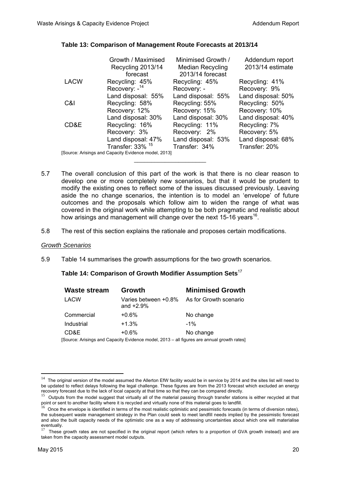|             | Growth / Maximised<br>Recycling 2013/14<br>forecast  | Minimised Growth /<br><b>Median Recycling</b><br>2013/14 forecast | Addendum report<br>2013/14 estimate |
|-------------|------------------------------------------------------|-------------------------------------------------------------------|-------------------------------------|
| <b>LACW</b> | Recycling: 45%                                       | Recycling: 45%                                                    | Recycling: 41%                      |
|             | Recovery: $-14$                                      | Recovery: -                                                       | Recovery: 9%                        |
|             | Land disposal: 55%                                   | Land disposal: 55%                                                | Land disposal: 50%                  |
| C&I         | Recycling: 58%                                       | Recycling: 55%                                                    | Recycling: 50%                      |
|             | Recovery: 12%                                        | Recovery: 15%                                                     | Recovery: 10%                       |
|             | Land disposal: 30%                                   | Land disposal: 30%                                                | Land disposal: 40%                  |
| CD&E        | Recycling: 16%                                       | Recycling: 11%                                                    | Recycling: 7%                       |
|             | Recovery: 3%                                         | Recovery: 2%                                                      | Recovery: 5%                        |
|             | Land disposal: 47%                                   | Land disposal: 53%                                                | Land disposal: 68%                  |
|             | Transfer: 33% <sup>15</sup>                          | Transfer: 34%                                                     | Transfer: 20%                       |
|             | [Source: Arisings and Capacity Evidence model, 2013] |                                                                   |                                     |
|             |                                                      |                                                                   |                                     |

#### **Table 13: Comparison of Management Route Forecasts at 2013/14**

- 5.7 The overall conclusion of this part of the work is that there is no clear reason to develop one or more completely new scenarios, but that it would be prudent to modify the existing ones to reflect some of the issues discussed previously. Leaving aside the no change scenarios, the intention is to model an 'envelope' of future outcomes and the proposals which follow aim to widen the range of what was covered in the original work while attempting to be both pragmatic and realistic about how arisings and management will change over the next  $15-16$  years<sup>16</sup>.
- 5.8 The rest of this section explains the rationale and proposes certain modifications.

#### *Growth Scenarios*

5.9 Table 14 summarises the growth assumptions for the two growth scenarios.

#### **Table 14: Comparison of Growth Modifier Assumption Sets**<sup>17</sup>

| <b>Waste stream</b> | Growth                                                                                                                                                      | <b>Minimised Growth</b> |
|---------------------|-------------------------------------------------------------------------------------------------------------------------------------------------------------|-------------------------|
| <b>LACW</b>         | Varies between +0.8%<br>and $+2.9%$                                                                                                                         | As for Growth scenario  |
| Commercial          | $+0.6%$                                                                                                                                                     | No change               |
| Industrial          | $+1.3%$                                                                                                                                                     | $-1\%$                  |
| CD&E                | $+0.6%$                                                                                                                                                     | No change               |
|                     | $\mathcal{L}_{\text{outco}}$ Ariginas and Canacity Evidence model $\mathcal{L}_{\text{out}}$ all figures are appual growth rates $\mathcal{L}_{\text{out}}$ |                         |

[Source: Arisings and Capacity Evidence model, 2013 – all figures are annual growth rates]

 $14$  The original version of the model assumed the Allerton EfW facility would be in service by 2014 and the sites list will need to be updated to reflect delays following the legal challenge. These figures are from the 2013 forecast which excluded an energy recovery forecast due to the lack of local capacity at that time so that they can be compared directly.

 $15$  Outputs from the model suggest that virtually all of the material passing through transfer stations is either recycled at that point or sent to another facility where it is recycled and virtually none of this material goes to landfill.<br><sup>16</sup> Once the envelope is identified in terms of the most realistic optimistic and pessimistic forecasts (in term

the subsequent waste management strategy in the Plan could seek to meet landfill needs implied by the pessimistic forecast and also the built capacity needs of the optimistic one as a way of addressing uncertainties about which one will materialise eventually.

These growth rates are not specified in the original report (which refers to a proportion of GVA growth instead) and are taken from the capacity assessment model outputs.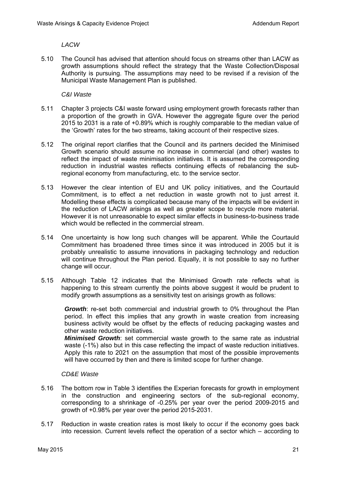*LACW* 

5.10 The Council has advised that attention should focus on streams other than LACW as growth assumptions should reflect the strategy that the Waste Collection/Disposal Authority is pursuing. The assumptions may need to be revised if a revision of the Municipal Waste Management Plan is published.

*C&I Waste* 

- 5.11 Chapter 3 projects C&I waste forward using employment growth forecasts rather than a proportion of the growth in GVA. However the aggregate figure over the period 2015 to 2031 is a rate of +0.89% which is roughly comparable to the median value of the 'Growth' rates for the two streams, taking account of their respective sizes.
- 5.12 The original report clarifies that the Council and its partners decided the Minimised Growth scenario should assume no increase in commercial (and other) wastes to reflect the impact of waste minimisation initiatives. It is assumed the corresponding reduction in industrial wastes reflects continuing effects of rebalancing the subregional economy from manufacturing, etc. to the service sector.
- 5.13 However the clear intention of EU and UK policy initiatives, and the Courtauld Commitment, is to effect a net reduction in waste growth not to just arrest it. Modelling these effects is complicated because many of the impacts will be evident in the reduction of LACW arisings as well as greater scope to recycle more material. However it is not unreasonable to expect similar effects in business-to-business trade which would be reflected in the commercial stream.
- 5.14 One uncertainty is how long such changes will be apparent. While the Courtauld Commitment has broadened three times since it was introduced in 2005 but it is probably unrealistic to assume innovations in packaging technology and reduction will continue throughout the Plan period. Equally, it is not possible to say no further change will occur.
- 5.15 Although Table 12 indicates that the Minimised Growth rate reflects what is happening to this stream currently the points above suggest it would be prudent to modify growth assumptions as a sensitivity test on arisings growth as follows:

*Growth*: re-set both commercial and industrial growth to 0% throughout the Plan period. In effect this implies that any growth in waste creation from increasing business activity would be offset by the effects of reducing packaging wastes and other waste reduction initiatives.

*Minimised Growth*: set commercial waste growth to the same rate as industrial waste (-1%) also but in this case reflecting the impact of waste reduction initiatives. Apply this rate to 2021 on the assumption that most of the possible improvements will have occurred by then and there is limited scope for further change.

#### *CD&E Waste*

- 5.16 The bottom row in Table 3 identifies the Experian forecasts for growth in employment in the construction and engineering sectors of the sub-regional economy, corresponding to a shrinkage of -0.25% per year over the period 2009-2015 and growth of +0.98% per year over the period 2015-2031.
- 5.17 Reduction in waste creation rates is most likely to occur if the economy goes back into recession. Current levels reflect the operation of a sector which – according to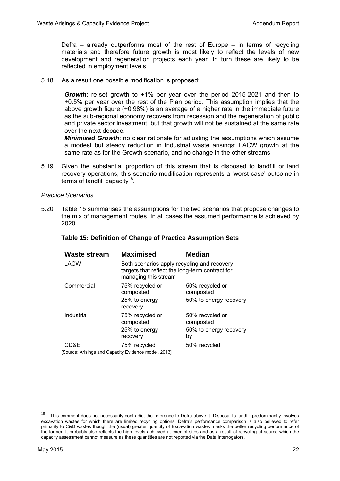Defra – already outperforms most of the rest of Europe – in terms of recycling materials and therefore future growth is most likely to reflect the levels of new development and regeneration projects each year. In turn these are likely to be reflected in employment levels.

5.18 As a result one possible modification is proposed:

*Growth*: re-set growth to +1% per year over the period 2015-2021 and then to +0.5% per year over the rest of the Plan period. This assumption implies that the above growth figure (+0.98%) is an average of a higher rate in the immediate future as the sub-regional economy recovers from recession and the regeneration of public and private sector investment, but that growth will not be sustained at the same rate over the next decade.

*Minimised Growth*: no clear rationale for adjusting the assumptions which assume a modest but steady reduction in Industrial waste arisings; LACW growth at the same rate as for the Growth scenario, and no change in the other streams.

5.19 Given the substantial proportion of this stream that is disposed to landfill or land recovery operations, this scenario modification represents a 'worst case' outcome in terms of landfill capacity<sup>18</sup>.

#### *Practice Scenarios*

5.20 Table 15 summarises the assumptions for the two scenarios that propose changes to the mix of management routes. In all cases the assumed performance is achieved by 2020.

| <b>Waste stream</b> | <b>Maximised</b>                                                                                                       | <b>Median</b>                                                |
|---------------------|------------------------------------------------------------------------------------------------------------------------|--------------------------------------------------------------|
| <b>LACW</b>         | Both scenarios apply recycling and recovery<br>targets that reflect the long-term contract for<br>managing this stream |                                                              |
| Commercial          | 75% recycled or<br>composted<br>25% to energy<br>recovery                                                              | 50% recycled or<br>composted<br>50% to energy recovery       |
| Industrial          | 75% recycled or<br>composted<br>25% to energy<br>recovery                                                              | 50% recycled or<br>composted<br>50% to energy recovery<br>bγ |
| CD&E                | 75% recycled                                                                                                           | 50% recycled                                                 |
|                     | [Source: Arisings and Capacity Evidence model, 2013]                                                                   |                                                              |

#### **Table 15: Definition of Change of Practice Assumption Sets**

 $18\,$ This comment does not necessarily contradict the reference to Defra above it. Disposal to landfill predominantly involves excavation wastes for which there are limited recycling options. Defra's performance comparison is also believed to refer primarily to C&D wastes though the (usual) greater quantity of Excavation wastes masks the better recycling performance of the former. It probably also reflects the high levels achieved at exempt sites and as a result of recycling at source which the capacity assessment cannot measure as these quantities are not reported via the Data Interrogators.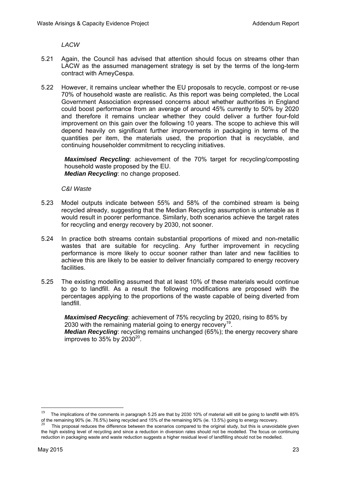*LACW* 

- 5.21 Again, the Council has advised that attention should focus on streams other than LACW as the assumed management strategy is set by the terms of the long-term contract with AmeyCespa.
- 5.22 However, it remains unclear whether the EU proposals to recycle, compost or re-use 70% of household waste are realistic. As this report was being completed, the Local Government Association expressed concerns about whether authorities in England could boost performance from an average of around 45% currently to 50% by 2020 and therefore it remains unclear whether they could deliver a further four-fold improvement on this gain over the following 10 years. The scope to achieve this will depend heavily on significant further improvements in packaging in terms of the quantities per item, the materials used, the proportion that is recyclable, and continuing householder commitment to recycling initiatives.

*Maximised Recycling*: achievement of the 70% target for recycling/composting household waste proposed by the EU. *Median Recycling*: no change proposed.

#### *C&I Waste*

- 5.23 Model outputs indicate between 55% and 58% of the combined stream is being recycled already, suggesting that the Median Recycling assumption is untenable as it would result in poorer performance. Similarly, both scenarios achieve the target rates for recycling and energy recovery by 2030, not sooner.
- 5.24 In practice both streams contain substantial proportions of mixed and non-metallic wastes that are suitable for recycling. Any further improvement in recycling performance is more likely to occur sooner rather than later and new facilities to achieve this are likely to be easier to deliver financially compared to energy recovery facilities.
- 5.25 The existing modelling assumed that at least 10% of these materials would continue to go to landfill. As a result the following modifications are proposed with the percentages applying to the proportions of the waste capable of being diverted from landfill.

*Maximised Recycling*: achievement of 75% recycling by 2020, rising to 85% by 2030 with the remaining material going to energy recovery<sup>19</sup>.

*Median Recycling*: recycling remains unchanged (65%); the energy recovery share improves to  $35\%$  by  $2030^{20}$ .

<sup>19</sup> 19 The implications of the comments in paragraph 5.25 are that by 2030 10% of material will still be going to landfill with 85% of the remaining 90% (ie. 76.5%) being recycled and 15% of the remaining 90% (ie. 13.5%) going to energy recovery.<br><sup>20</sup> This proposal reduces the difference between the scenarios compared to the original study, but this is

the high existing level of recycling and since a reduction in diversion rates should not be modelled. The focus on continuing reduction in packaging waste and waste reduction suggests a higher residual level of landfilling should not be modelled.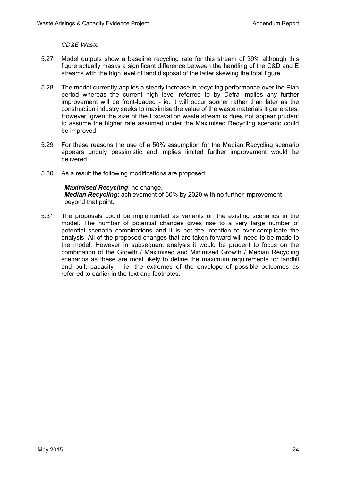#### *CD&E Waste*

- 5.27 Model outputs show a baseline recycling rate for this stream of 39% although this figure actually masks a significant difference between the handling of the C&D and E streams with the high level of land disposal of the latter skewing the total figure.
- 5.28 The model currently applies a steady increase in recycling performance over the Plan period whereas the current high level referred to by Defra implies any further improvement will be front-loaded - ie. it will occur sooner rather than later as the construction industry seeks to maximise the value of the waste materials it generates. However, given the size of the Excavation waste stream is does not appear prudent to assume the higher rate assumed under the Maximised Recycling scenario could be improved.
- 5.29 For these reasons the use of a 50% assumption for the Median Recycling scenario appears unduly pessimistic and implies limited further improvement would be delivered.
- 5.30 As a result the following modifications are proposed:

#### *Maximised Recycling*: no change.

*Median Recycling*: achievement of 60% by 2020 with no further improvement beyond that point.

5.31 The proposals could be implemented as variants on the existing scenarios in the model. The number of potential changes gives rise to a very large number of potential scenario combinations and it is not the intention to over-complicate the analysis. All of the proposed changes that are taken forward will need to be made to the model. However in subsequent analysis it would be prudent to focus on the combination of the Growth / Maximised and Minimised Growth / Median Recycling scenarios as these are most likely to define the maximum requirements for landfill and built capacity  $-$  ie. the extremes of the envelope of possible outcomes as referred to earlier in the text and footnotes.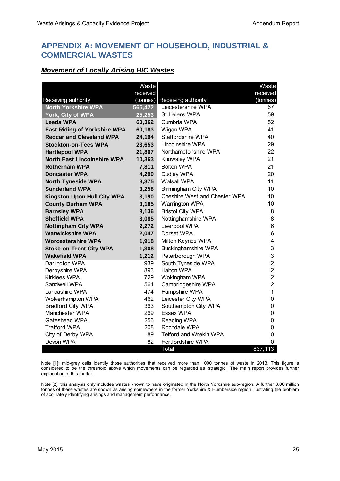## **APPENDIX A: MOVEMENT OF HOUSEHOLD, INDUSTRIAL & COMMERCIAL WASTES**

#### *Movement of Locally Arising HIC Wastes*

|                                     | Waste                          |                                      | Waste          |
|-------------------------------------|--------------------------------|--------------------------------------|----------------|
|                                     | received                       |                                      | received       |
| Receiving authority                 | (tonnes)                       | Receiving authority                  | (tonnes)       |
| <b>North Yorkshire WPA</b>          | 565,422                        | Leicestershire WPA                   | 67             |
| York, City of WPA                   | 25,253                         | St Helens WPA                        | 59             |
| <b>Leeds WPA</b>                    | 60,362                         | Cumbria WPA                          | 52             |
| <b>East Riding of Yorkshire WPA</b> | 60,183                         | Wigan WPA                            | 41             |
| <b>Redcar and Cleveland WPA</b>     | 24,194                         | Staffordshire WPA                    | 40             |
| <b>Stockton-on-Tees WPA</b>         | 23,653                         | Lincolnshire WPA                     | 29             |
| <b>Hartlepool WPA</b>               | 21,807                         | Northamptonshire WPA                 | 22             |
| <b>North East Lincolnshire WPA</b>  | 10,363                         | Knowsley WPA                         | 21             |
| <b>Rotherham WPA</b>                | 7,811                          | <b>Bolton WPA</b>                    | 21             |
| <b>Doncaster WPA</b>                | 4,290                          | Dudley WPA                           | 20             |
| <b>North Tyneside WPA</b>           | 3,375                          | <b>Walsall WPA</b>                   | 11             |
| <b>Sunderland WPA</b>               | 3,258                          | <b>Birmingham City WPA</b>           | 10             |
| <b>Kingston Upon Hull City WPA</b>  | 3,190                          | <b>Cheshire West and Chester WPA</b> | 10             |
| <b>County Durham WPA</b>            | <b>Warrington WPA</b><br>3,185 |                                      | 10             |
| <b>Barnsley WPA</b>                 | 3,136                          | <b>Bristol City WPA</b>              |                |
| <b>Sheffield WPA</b>                | 3,085                          | Nottinghamshire WPA                  |                |
| <b>Nottingham City WPA</b>          | 2,272                          | Liverpool WPA                        | 6              |
| <b>Warwickshire WPA</b>             | 2,047                          | Dorset WPA                           | 6              |
| <b>Worcestershire WPA</b>           | 1,918                          | Milton Keynes WPA                    |                |
| <b>Stoke-on-Trent City WPA</b>      | 1,308                          | <b>Buckinghamshire WPA</b>           | 3              |
| <b>Wakefield WPA</b>                | 1,212                          | Peterborough WPA                     | 3              |
| Darlington WPA                      | 939                            | South Tyneside WPA                   | $\overline{2}$ |
| Derbyshire WPA                      | 893                            | <b>Halton WPA</b>                    | $\overline{2}$ |
| Kirklees WPA                        | 729                            | Wokingham WPA                        | $\overline{2}$ |
| Sandwell WPA                        | 561                            | Cambridgeshire WPA                   | $\overline{2}$ |
| Lancashire WPA                      | 474                            | Hampshire WPA                        | $\mathbf{1}$   |
| Wolverhampton WPA                   | 462                            | Leicester City WPA                   | 0              |
| <b>Bradford City WPA</b>            | 363                            | Southampton City WPA                 | 0              |
| Manchester WPA                      | 269                            | <b>Essex WPA</b>                     | 0              |
| Gateshead WPA                       | 256                            | Reading WPA                          | 0              |
| <b>Trafford WPA</b>                 | 208                            | Rochdale WPA                         | $\mathbf 0$    |
| City of Derby WPA                   | 89<br>Telford and Wrekin WPA   |                                      | 0              |
| Devon WPA                           | 82                             | Hertfordshire WPA                    | $\mathbf 0$    |
|                                     |                                | Total                                | 837,113        |

Note [1]: mid-grey cells identify those authorities that received more than 1000 tonnes of waste in 2013. This figure is considered to be the threshold above which movements can be regarded as 'strategic'. The main report provides further explanation of this matter.

Note [2]: this analysis only includes wastes known to have originated in the North Yorkshire sub-region. A further 3.06 million tonnes of these wastes are shown as arising somewhere in the former Yorkshire & Humberside region illustrating the problem of accurately identifying arisings and management performance.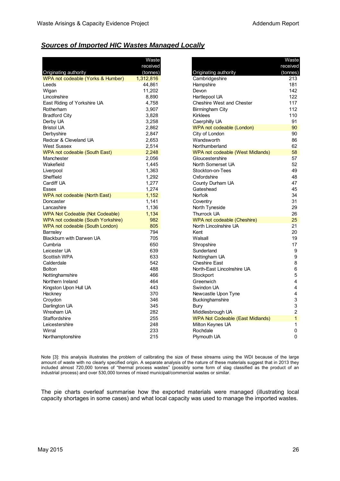#### *Sources of Imported HIC Wastes Managed Locally*

|                                        | Waste     |                                         | Waste          |
|----------------------------------------|-----------|-----------------------------------------|----------------|
|                                        | received  |                                         | received       |
| Originating authority                  | (tonnes)  | Originating authority                   | (tonnes)       |
| WPA not codeable (Yorks & Humber)      | 1,312,816 | Cambridgeshire                          | 213            |
| Leeds                                  | 44,861    | Hampshire                               | 181            |
| Wigan                                  | 11,202    | Devon                                   | 142            |
| Lincolnshire                           | 8,890     | Hartlepool UA                           | 122            |
| East Riding of Yorkshire UA            | 4,758     | <b>Cheshire West and Chester</b>        | 117            |
| Rotherham                              | 3,907     | Birmingham City                         | 112            |
| <b>Bradford City</b>                   | 3,828     | <b>Kirklees</b>                         | 110            |
| Derby UA                               | 3,258     | Caerphilly UA                           | 91             |
| <b>Bristol UA</b>                      | 2,862     | WPA not codeable (London)               | 90             |
| Derbyshire                             | 2,847     | City of London                          | 90             |
| Redcar & Cleveland UA                  | 2,653     | Wandsworth                              | 86             |
| <b>West Sussex</b>                     | 2,514     | Northumberland                          | 62             |
| WPA not codeable (South East)          | 2,248     | WPA not codeable (West Midlands)        | 58             |
| Manchester                             | 2,056     | Gloucestershire                         | 57             |
| Wakefield                              | 1,445     | North Somerset UA                       | 52             |
| Liverpool                              | 1,363     | Stockton-on-Tees                        | 49             |
| Sheffield                              | 1,292     | Oxfordshire                             | 48             |
| Cardiff UA                             | 1,277     | County Durham UA                        | 47             |
| <b>Essex</b>                           | 1,274     | Gateshead                               | 45             |
| WPA not codeable (North East)          | 1,152     | <b>Norfolk</b>                          | 34             |
| Doncaster                              | 1,141     | Coventry                                | 31             |
| Lancashire                             | 1,136     | North Tyneside                          | 29             |
| <b>WPA Not Codeable (Not Codeable)</b> | 1,134     | Thurrock UA                             | 26             |
| WPA not codeable (South Yorkshire)     | 982       | WPA not codeable (Cheshire)             | 25             |
| WPA not codeable (South London)        | 805       | North Lincolnshire UA                   | 21             |
| <b>Barnsley</b>                        | 794       | Kent                                    | 20             |
| <b>Blackburn with Darwen UA</b>        | 705       | Walsall                                 | 19             |
| Cumbria                                | 650       | Shropshire                              | 17             |
| Leicester UA                           | 639       | Sunderland                              | 9              |
| <b>Scottish WPA</b>                    | 633       | Nottingham UA                           | 9              |
| Calderdale                             | 542       | <b>Cheshire East</b>                    | 8              |
| <b>Bolton</b>                          | 488       | North-East Lincolnshire UA              | 6              |
| Nottinghamshire                        | 466       | Stockport                               | 5              |
| Northern Ireland                       | 464       | Greenwich                               | 4              |
| Kingston Upon Hull UA                  | 443       | Swindon UA                              | 4              |
| Hackney                                | 370       | Newcastle Upon Tyne                     | 4              |
| Croydon                                | 346       | Buckinghamshire                         | 3              |
| Darlington UA                          | 345       | Bury                                    | 3              |
| Wrexham UA                             | 282       | Middlesbrough UA                        | $\mathbf 2$    |
| Staffordshire                          | 255       | <b>WPA Not Codeable (East Midlands)</b> | $\overline{1}$ |
| Leicestershire                         | 248       | Milton Keynes UA                        | 1              |
| Wirral                                 | 233       | Rochdale                                | 0              |
| Northamptonshire                       | 215       | Plymouth UA                             | 0              |
|                                        |           |                                         |                |

Note [3]: this analysis illustrates the problem of calibrating the size of these streams using the WDI because of the large amount of waste with no clearly specified origin. A separate analysis of the nature of these materials suggest that in 2013 they included almost 720,000 tonnes of "thermal process wastes" (possibly some form of slag classified as the product of an industrial process) and over 530,000 tonnes of mixed municipal/commercial wastes or similar.

The pie charts overleaf summarise how the exported materials were managed (illustrating local capacity shortages in some cases) and what local capacity was used to manage the imported wastes.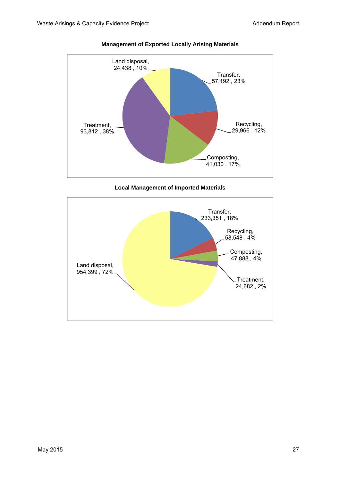

#### **Management of Exported Locally Arising Materials**

**Local Management of Imported Materials**

![](_page_30_Figure_5.jpeg)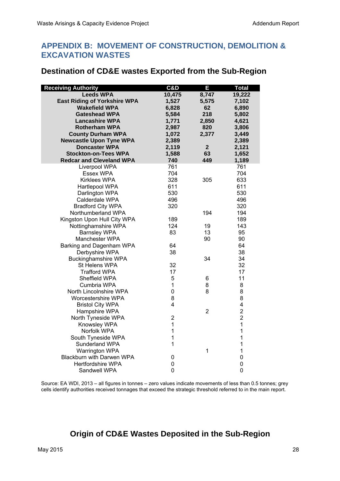## **APPENDIX B: MOVEMENT OF CONSTRUCTION, DEMOLITION & EXCAVATION WASTES**

## **Destination of CD&E wastes Exported from the Sub-Region**

| <b>Receiving Authority</b>                            | <b>C&amp;D</b>   | E              | <b>Total</b>            |
|-------------------------------------------------------|------------------|----------------|-------------------------|
| <b>Leeds WPA</b>                                      | 10,475           | 8,747          | 19,222                  |
| <b>East Riding of Yorkshire WPA</b>                   | 1,527            | 5,575          | 7,102                   |
| <b>Wakefield WPA</b>                                  | 6,828            | 62             | 6,890                   |
| <b>Gateshead WPA</b>                                  | 5,584            | 218            | 5,802                   |
| <b>Lancashire WPA</b>                                 | 1,771            | 2,850          | 4,621                   |
| <b>Rotherham WPA</b>                                  | 2,987            | 820            | 3,806                   |
| <b>County Durham WPA</b>                              | 1,072            | 2,377          | 3,449                   |
| <b>Newcastle Upon Tyne WPA</b>                        | 2,389            |                | 2,389                   |
| <b>Doncaster WPA</b>                                  | 2,119            | $\mathbf{2}$   | 2,121                   |
| <b>Stockton-on-Tees WPA</b>                           | 1,588            | 63             | 1,652                   |
| <b>Redcar and Cleveland WPA</b>                       | 740              | 449            | 1,189                   |
| Liverpool WPA                                         | 761              |                | 761                     |
| <b>Essex WPA</b>                                      | 704              |                | 704                     |
| Kirklees WPA                                          | 328              | 305            | 633                     |
| Hartlepool WPA                                        | 611              |                | 611                     |
| Darlington WPA                                        | 530              |                | 530                     |
| Calderdale WPA                                        | 496              |                | 496                     |
| <b>Bradford City WPA</b>                              | 320              |                | 320                     |
| Northumberland WPA                                    |                  | 194            | 194                     |
| Kingston Upon Hull City WPA                           | 189              |                | 189                     |
| Nottinghamshire WPA                                   | 124              | 19             | 143                     |
| <b>Barnsley WPA</b>                                   | 83               | 13             | 95                      |
| Manchester WPA                                        |                  | 90             | 90                      |
| Barking and Dagenham WPA                              | 64               |                | 64                      |
| Derbyshire WPA                                        | 38               |                | 38                      |
| <b>Buckinghamshire WPA</b>                            |                  | 34             | 34                      |
| St Helens WPA                                         | 32               |                | 32                      |
| Trafford WPA                                          | 17               |                | 17                      |
| Sheffield WPA                                         | 5                | 6              | 11                      |
| Cumbria WPA                                           | $\mathbf{1}$     | 8              | 8                       |
| North Lincolnshire WPA                                | $\pmb{0}$        | 8              | 8                       |
| Worcestershire WPA                                    | 8                |                | 8                       |
| <b>Bristol City WPA</b>                               | $\overline{4}$   |                | 4                       |
| Hampshire WPA                                         |                  | $\overline{2}$ | $\overline{\mathbf{c}}$ |
| North Tyneside WPA                                    | $\overline{2}$   |                | $\overline{2}$          |
| Knowsley WPA                                          | 1                |                | $\mathbf 1$             |
| Norfolk WPA                                           | $\mathbf 1$      |                | $\mathbf{1}$            |
| South Tyneside WPA                                    | $\mathbf 1$<br>1 |                | $\mathbf{1}$            |
| Sunderland WPA                                        |                  | 1              | 1<br>$\mathbf 1$        |
| Warrington WPA                                        |                  |                | 0                       |
| Blackburn with Darwen WPA<br><b>Hertfordshire WPA</b> | 0<br>$\mathbf 0$ |                | 0                       |
| Sandwell WPA                                          | $\overline{0}$   |                | 0                       |
|                                                       |                  |                |                         |

Source: EA WDI, 2013 – all figures in tonnes – zero values indicate movements of less than 0.5 tonnes; grey cells identify authorities received tonnages that exceed the strategic threshold referred to in the main report.

## **Origin of CD&E Wastes Deposited in the Sub-Region**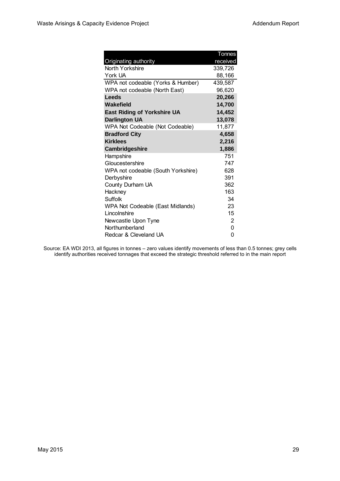|                                    | Tonnes   |
|------------------------------------|----------|
| Originating authority              | received |
| North Yorkshire                    | 339,726  |
| York UA                            | 88,166   |
| WPA not codeable (Yorks & Humber)  | 439,587  |
| WPA not codeable (North East)      | 96,620   |
| <b>Leeds</b>                       | 20,266   |
| Wakefield                          | 14,700   |
| <b>East Riding of Yorkshire UA</b> | 14,452   |
| <b>Darlington UA</b>               | 13,078   |
| WPA Not Codeable (Not Codeable)    | 11,877   |
| <b>Bradford City</b>               | 4,658    |
| <b>Kirklees</b>                    | 2,216    |
| Cambridgeshire                     | 1,886    |
| Hampshire                          | 751      |
| Gloucestershire                    | 747      |
| WPA not codeable (South Yorkshire) | 628      |
| Derbyshire                         | 391      |
| County Durham UA                   | 362      |
| Hackney                            | 163      |
| Suffolk                            | 34       |
| WPA Not Codeable (East Midlands)   | 23       |
| Lincolnshire                       | 15       |
| Newcastle Upon Tyne                | 2        |
| Northumberland                     | 0        |
| Redcar & Cleveland UA              | 0        |

Source: EA WDI 2013, all figures in tonnes – zero values identify movements of less than 0.5 tonnes; grey cells identify authorities received tonnages that exceed the strategic threshold referred to in the main report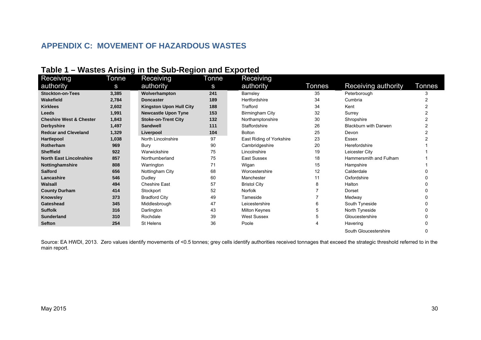## **APPENDIX C: MOVEMENT OF HAZARDOUS WASTES**

### **Table 1 – Wastes Arising in the Sub-Region and Exported**

| Receiving                          | Tonne | Receiving                      | Tonne | Receiving                |        |                              |        |
|------------------------------------|-------|--------------------------------|-------|--------------------------|--------|------------------------------|--------|
| authority                          | S     | authority                      | S     | authority                | Tonnes | <b>Receiving authority</b>   | Tonnes |
| <b>Stockton-on-Tees</b>            | 3,385 | Wolverhampton                  | 241   | Barnsley                 | 35     | Peterborough                 |        |
| Wakefield                          | 2,784 | <b>Doncaster</b>               | 189   | Hertfordshire            | 34     | Cumbria                      |        |
| <b>Kirklees</b>                    | 2,602 | <b>Kingston Upon Hull City</b> | 188   | Trafford                 | 34     | Kent                         |        |
| Leeds                              | 1,991 | <b>Newcastle Upon Tyne</b>     | 153   | Birmingham City          | 32     | Surrey                       |        |
| <b>Cheshire West &amp; Chester</b> | 1,843 | <b>Stoke-on-Trent City</b>     | 132   | Northamptonshire         | 30     | Shropshire                   |        |
| <b>Derbyshire</b>                  | 1,497 | <b>Sandwell</b>                | 111   | Staffordshire            | 26     | <b>Blackburn with Darwen</b> |        |
| <b>Redcar and Cleveland</b>        | 1,329 | Liverpool                      | 104   | <b>Bolton</b>            | 25     | Devon                        |        |
| Hartlepool                         | 1,038 | North Lincolnshire             | 97    | East Riding of Yorkshire | 23     | <b>Essex</b>                 |        |
| Rotherham                          | 969   | Bury                           | 90    | Cambridgeshire           | 20     | Herefordshire                |        |
| <b>Sheffield</b>                   | 922   | Warwickshire                   | 75    | Lincolnshire             | 19     | Leicester City               |        |
| <b>North East Lincolnshire</b>     | 857   | Northumberland                 | 75    | East Sussex              | 18     | Hammersmith and Fulham       |        |
| Nottinghamshire                    | 808   | Warrington                     | 71    | Wigan                    | 15     | Hampshire                    |        |
| <b>Salford</b>                     | 656   | Nottingham City                | 68    | Worcestershire           | 12     | Calderdale                   |        |
| Lancashire                         | 546   | Dudley                         | 60    | Manchester               | 11     | Oxfordshire                  |        |
| Walsall                            | 494   | <b>Cheshire East</b>           | 57    | <b>Bristol City</b>      | 8      | Halton                       |        |
| <b>County Durham</b>               | 414   | Stockport                      | 52    | Norfolk                  |        | Dorset                       |        |
| Knowsley                           | 373   | <b>Bradford City</b>           | 49    | Tameside                 |        | Medway                       |        |
| Gateshead                          | 345   | Middlesbrough                  | 47    | Leicestershire           | 6      | South Tyneside               |        |
| <b>Suffolk</b>                     | 316   | Darlington                     | 43    | Milton Keynes            | 5      | North Tyneside               |        |
| <b>Sunderland</b>                  | 310   | Rochdale                       | 39    | <b>West Sussex</b>       | 5      | Gloucestershire              |        |
| <b>Sefton</b>                      | 254   | St Helens                      | 36    | Poole                    | 4      | Havering                     |        |
|                                    |       |                                |       |                          |        | South Gloucestershire        |        |

Source: EA HWDI, 2013. Zero values identify movements of <0.5 tonnes; grey cells identify authorities received tonnages that exceed the strategic threshold referred to in the main report.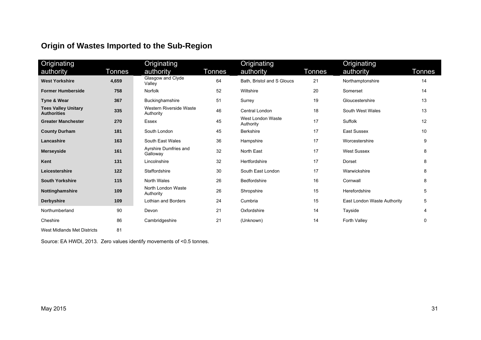| Originating                                      |        | Originating                          |        | Originating                    |        | Originating                 |               |
|--------------------------------------------------|--------|--------------------------------------|--------|--------------------------------|--------|-----------------------------|---------------|
| authority                                        | Tonnes | authority                            | Tonnes | authority                      | Tonnes | authority                   | <b>Tonnes</b> |
| <b>West Yorkshire</b>                            | 4,659  | Glasgow and Clyde<br>Valley          | 64     | Bath, Bristol and S Gloucs     | 21     | Northamptonshire            | 14            |
| <b>Former Humberside</b>                         | 758    | Norfolk                              | 52     | Wiltshire                      | 20     | Somerset                    | 14            |
| Tyne & Wear                                      | 367    | Buckinghamshire                      | 51     | Surrey                         | 19     | Gloucestershire             | 13            |
| <b>Tees Valley Unitary</b><br><b>Authorities</b> | 335    | Western Riverside Waste<br>Authority | 46     | Central London                 | 18     | South West Wales            | 13            |
| <b>Greater Manchester</b>                        | 270    | Essex                                | 45     | West London Waste<br>Authority | 17     | Suffolk                     | 12            |
| <b>County Durham</b>                             | 181    | South London                         | 45     | <b>Berkshire</b>               | 17     | <b>East Sussex</b>          | 10            |
| Lancashire                                       | 163    | South East Wales                     | 36     | Hampshire                      | 17     | Worcestershire              | 9             |
| <b>Merseyside</b>                                | 161    | Ayrshire Dumfries and<br>Galloway    | 32     | North East                     | 17     | <b>West Sussex</b>          | 8             |
| Kent                                             | 131    | Lincolnshire                         | 32     | Hertfordshire                  | 17     | Dorset                      | 8             |
| Leicestershire                                   | 122    | Staffordshire                        | 30     | South East London              | 17     | Warwickshire                | 8             |
| <b>South Yorkshire</b>                           | 115    | <b>North Wales</b>                   | 26     | Bedfordshire                   | 16     | Cornwall                    | 8             |
| Nottinghamshire                                  | 109    | North London Waste<br>Authority      | 26     | Shropshire                     | 15     | Herefordshire               | 5             |
| <b>Derbyshire</b>                                | 109    | Lothian and Borders                  | 24     | Cumbria                        | 15     | East London Waste Authority | 5             |
| Northumberland                                   | 90     | Devon                                | 21     | Oxfordshire                    | 14     | Tayside                     |               |
| Cheshire                                         | 86     | Cambridgeshire                       | 21     | (Unknown)                      | 14     | <b>Forth Valley</b>         | 0             |
| <b>West Midlands Met Districts</b>               | 81     |                                      |        |                                |        |                             |               |

Source: EA HWDI, 2013. Zero values identify movements of <0.5 tonnes.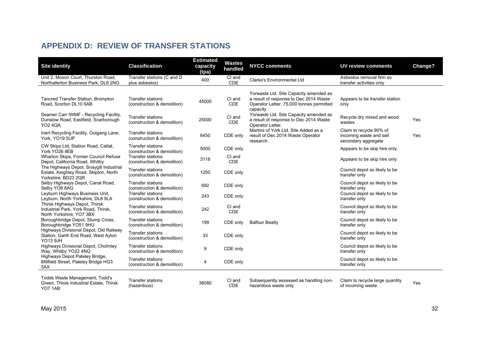## **APPENDIX D: REVIEW OF TRANSFER STATIONS**

| <b>Site identity</b>                                                                                    | <b>Classification</b>                                   | <b>Estimated</b><br>capacity<br>(tpa) | <b>Wastes</b><br>handled | <b>NYCC comments</b>                                                                                                                     | <b>UV review comments</b>                                                 | Change? |
|---------------------------------------------------------------------------------------------------------|---------------------------------------------------------|---------------------------------------|--------------------------|------------------------------------------------------------------------------------------------------------------------------------------|---------------------------------------------------------------------------|---------|
| Unit 2, Moxon Court, Thurston Road,<br>Northallerton Business Park, DL6 2NG                             | Transfer stations (C and D<br>plus asbestos)            | 400                                   | CI and<br><b>CDE</b>     | Clarke's Environmental Ltd                                                                                                               | Asbestos removal firm so<br>transfer activities only                      |         |
| Tancred Transfer Station, Brompton<br>Road, Scorton DL10 6AB                                            | <b>Transfer stations</b><br>(construction & demolition) | 45000                                 | CI and<br>CDE            | Yorwaste Ltd. Site Capacity amended as<br>a result of response to Dec 2014 Waste<br>Operator Letter. 75,000 tonnes permitted<br>capacity | Appears to be transfer station<br>only                                    |         |
| Seamer Carr IWMF - Recycling Facility,<br>Dunslow Road, Eastfield, Scarborough<br><b>YO2 4QA</b>        | <b>Transfer stations</b><br>(construction & demolition) | 25000                                 | CI and<br>CDE            | Yorwaste Ltd. Site Capacity amended as<br>a result of response to Dec 2014 Waste<br>Operator Letter.                                     | Recycle dry mixed and wood<br>wastes                                      | Yes     |
| Inert Recycling Facility, Outgang Lane,<br>York. YO19 5UP                                               | <b>Transfer stations</b><br>(construction & demolition) | 6450                                  | CDE only                 | Martins of York Ltd. Site Added as a<br>result of Dec 2014 Waste Operator<br>research.                                                   | Claim to recycle 90% of<br>incoming waste and sell<br>secondary aggregate | Yes     |
| CW Skips Ltd, Station Road, Cattal,<br>York YO26 8EB                                                    | <b>Transfer stations</b><br>(construction & demolition) | 5000                                  | CDE only                 |                                                                                                                                          | Appears to be skip hire only                                              |         |
| Wharton Skips, Former Council Refuse<br>Depot, California Road, Whitby                                  | <b>Transfer stations</b><br>(construction & demolition) | 3118                                  | CI and<br>CDE            |                                                                                                                                          | Appears to be skip hire only                                              |         |
| The Highways Depot, Snaygill Industrial<br>Estate, Keighley Road, Skipton, North<br>Yorkshire, BD23 2QR | <b>Transfer stations</b><br>(construction & demolition) | 1250                                  | CDE only                 |                                                                                                                                          | Council depot so likely to be<br>transfer only                            |         |
| Selby Highways Depot, Canal Road,<br>Selby YO8 8AG                                                      | <b>Transfer stations</b><br>(construction & demolition) | 692                                   | CDE only                 |                                                                                                                                          | Council depot so likely to be<br>transfer only                            |         |
| Leyburn Highways Business Unit,<br>Leyburn, North Yorkshire, DL8 5LA                                    | <b>Transfer stations</b><br>(construction & demolition) | 243                                   | CDE only                 |                                                                                                                                          | Council depot so likely to be<br>transfer only                            |         |
| Thirsk Highways Depot, Thirsk<br>Industrial Park, York Road, Thirsk,<br>North Yorkshire, YO7 3BX        | <b>Transfer stations</b><br>(construction & demolition) | 242                                   | CI and<br><b>CDE</b>     |                                                                                                                                          | Council depot so likely to be<br>transfer only                            |         |
| Boroughbridge Depot, Stump Cross,<br>Boroughbridge YO51 9HU                                             | <b>Transfer stations</b><br>(construction & demolition) | 199                                   | CDE only                 | <b>Balfour Beatty</b>                                                                                                                    | Council depot so likely to be<br>transfer only                            |         |
| Highways Divisional Depot, Old Railway<br>Station, Garth End Road, West Ayton<br><b>YO13 9JH</b>        | <b>Transfer stations</b><br>(construction & demolition) | 33                                    | CDE only                 |                                                                                                                                          | Council depot so likely to be<br>transfer only                            |         |
| Highways Divisional Depot, Cholmley<br>Way, Whitby YO22 4NQ                                             | <b>Transfer stations</b><br>(construction & demolition) | 9                                     | CDE only                 |                                                                                                                                          | Council depot so likely to be<br>transfer only                            |         |
| Highways Depot Pateley Bridge,<br>Millfield Street, Pateley Bridge HG3<br>5AX                           | <b>Transfer stations</b><br>(construction & demolition) | 4                                     | CDE only                 |                                                                                                                                          | Council depot so likely to be<br>transfer only                            |         |
| Todds Waste Management, Todd's<br>Green, Thirsk Industrial Estate, Thirsk<br>YO7 1AB                    | <b>Transfer stations</b><br>(hazardous)                 | 36080                                 | CI and<br>CDE            | Subsequently assessed as handling non-<br>hazardous waste only                                                                           | Claim to recycle large quantity<br>of incoming waste                      | Yes     |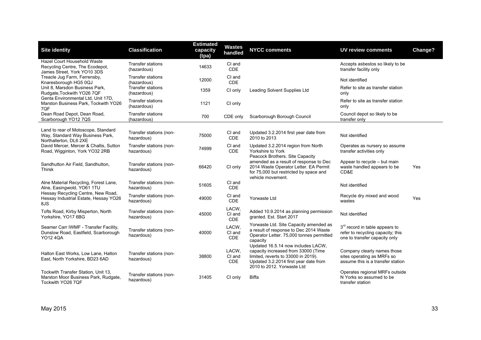| <b>Site identity</b>                                                                                 | <b>Classification</b>                   | <b>Estimated</b><br>capacity<br>(tpa) | <b>Wastes</b><br>handled | <b>NYCC comments</b>                                                                                                                                                                    | <b>UV review comments</b>                                                                                        | Change? |
|------------------------------------------------------------------------------------------------------|-----------------------------------------|---------------------------------------|--------------------------|-----------------------------------------------------------------------------------------------------------------------------------------------------------------------------------------|------------------------------------------------------------------------------------------------------------------|---------|
| <b>Hazel Court Household Waste</b><br>Recycling Centre, The Ecodepot,<br>James Street, York YO10 3DS | <b>Transfer stations</b><br>(hazardous) | 14633                                 | CI and<br>CDE            |                                                                                                                                                                                         | Accepts asbestos so likely to be<br>transfer facility only                                                       |         |
| Treacle Jug Farm, Ferrensby,<br>Knaresborough HG5 0QJ                                                | <b>Transfer stations</b><br>(hazardous) | 12000                                 | CI and<br>CDE            |                                                                                                                                                                                         | Not identified                                                                                                   |         |
| Unit 8, Marsdon Business Park,<br>Rudgate, Tockwith YO26 7QF                                         | <b>Transfer stations</b><br>(hazardous) | 1359                                  | CI only                  | Leading Solvent Supplies Ltd                                                                                                                                                            | Refer to site as transfer station<br>only                                                                        |         |
| Genta Environmental Ltd, Unit 17D,<br>Marston Business Park, Tockwith YO26<br>7QF                    | <b>Transfer stations</b><br>(hazardous) | 1121                                  | CI only                  |                                                                                                                                                                                         | Refer to site as transfer station<br>only                                                                        |         |
| Dean Road Depot, Dean Road,<br>Scarborough YO12 7QS                                                  | <b>Transfer stations</b><br>(hazardous) | 700                                   | CDE only                 | Scarborough Borough Council                                                                                                                                                             | Council depot so likely to be<br>transfer only                                                                   |         |
| Land to rear of Motoscope, Standard<br>Way, Standard Way Business Park,<br>Northallerton, DL6 2XE    | Transfer stations (non-<br>hazardous)   | 75000                                 | CI and<br>CDE            | Updated 3.2.2014 first year date from<br>2010 to 2013                                                                                                                                   | Not identified                                                                                                   |         |
| David Mercer, Mercer & Challis, Sutton<br>Road, Wigginton, York YO32 2RB                             | Transfer stations (non-<br>hazardous)   | 74999                                 | CI and<br>CDE            | Updated 3.2.2014 region from North<br>Yorkshire to York<br>Peacock Brothers. Site Capacity                                                                                              | Operates as nursery so assume<br>transfer activities only                                                        |         |
| Sandhutton Air Field, Sandhutton,<br>Thirsk                                                          | Transfer stations (non-<br>hazardous)   | 66420                                 | CI only                  | amended as a result of response to Dec<br>2014 Waste Operator Letter. EA Permit<br>for 75,000 but restricted by space and<br>vehicle movement.                                          | Appear to recycle - but main<br>waste handled appears to be<br>CD&E                                              | Yes     |
| Alne Material Recycling, Forest Lane,<br>Alne, Easingwold, YO61 1TU                                  | Transfer stations (non-<br>hazardous)   | 51605                                 | CI and<br><b>CDE</b>     |                                                                                                                                                                                         | Not identified                                                                                                   |         |
| Hessay Recycling Centre, New Road,<br>Hessay Industrial Estate, Hessay YO26<br>8JS                   | Transfer stations (non-<br>hazardous)   | 49000                                 | CI and<br><b>CDE</b>     | Yorwaste Ltd                                                                                                                                                                            | Recycle dry mixed and wood<br>wastes                                                                             | Yes     |
| Tofts Road, Kirby Misperton, North<br>Yorkshire, YO17 6BG                                            | Transfer stations (non-<br>hazardous)   | 45000                                 | LACW,<br>CI and<br>CDE   | Added 10.9.2014 as planning permission<br>granted. Est. Start 2017                                                                                                                      | Not identified                                                                                                   |         |
| Seamer Carr IWMF - Transfer Facility,<br>Dunslow Road, Eastfield, Scarborough<br><b>YO12 4QA</b>     | Transfer stations (non-<br>hazardous)   | 40000                                 | LACW,<br>CI and<br>CDE   | Yorwaste Ltd. Site Capacity amended as<br>a result of response to Dec 2014 Waste<br>Operator Letter. 75,000 tonnes permitted<br>capacity                                                | 3 <sup>rd</sup> record in table appears to<br>refer to recycling capacity; this<br>one to transfer capacity only |         |
| Halton East Works, Low Lane, Halton<br>East, North Yorkshire, BD23 6AD                               | Transfer stations (non-<br>hazardous)   | 38800                                 | LACW,<br>CI and<br>CDE   | Updated 16.5.14 now includes LACW,<br>capacity increased from 33000 (Time<br>limited, reverts to 33000 in 2019).<br>Updated 3.2.2014 first year date from<br>2010 to 2012. Yorwaste Ltd | Company clearly names those<br>sites operating as MRFs so<br>assume this is a transfer station                   |         |
| Tockwith Transfer Station, Unit 13,<br>Marston Moor Business Park, Rudgate,<br>Tockwith YO26 7QF     | Transfer stations (non-<br>hazardous)   | 31405                                 | CI only                  | <b>Biffa</b>                                                                                                                                                                            | Operates regional MRFs outside<br>N Yorks so assumed to be<br>transfer station                                   |         |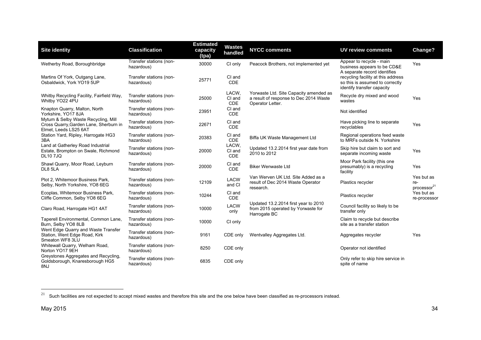| <b>Site identity</b>                                                                                   | <b>Classification</b>                 | <b>Estimated</b><br>capacity<br>(tpa) | <b>Wastes</b><br>handled      | <b>NYCC comments</b>                                                                                 | <b>UV review comments</b>                                                                           | Change?                                      |
|--------------------------------------------------------------------------------------------------------|---------------------------------------|---------------------------------------|-------------------------------|------------------------------------------------------------------------------------------------------|-----------------------------------------------------------------------------------------------------|----------------------------------------------|
| Wetherby Road, Boroughbridge                                                                           | Transfer stations (non-<br>hazardous) | 30000                                 | CI only                       | Peacock Brothers, not implemented yet                                                                | Appear to recycle - main<br>business appears to be CD&E<br>A separate record identifies             | Yes                                          |
| Martins Of York, Outgang Lane,<br>Osbaldwick, York YO19 5UP                                            | Transfer stations (non-<br>hazardous) | 25771                                 | CI and<br>CDE                 |                                                                                                      | recycling facility at this address<br>so this is assumed to correctly<br>identify transfer capacity |                                              |
| Whitby Recycling Facility, Fairfield Way,<br>Whitby YO22 4PU                                           | Transfer stations (non-<br>hazardous) | 25000                                 | LACW,<br>CI and<br><b>CDE</b> | Yorwaste Ltd. Site Capacity amended as<br>a result of response to Dec 2014 Waste<br>Operator Letter. | Recycle dry mixed and wood<br>wastes                                                                | Yes                                          |
| Knapton Quarry, Malton, North<br>Yorkshire, YO17 8JA                                                   | Transfer stations (non-<br>hazardous) | 23951                                 | CI and<br><b>CDE</b>          |                                                                                                      | Not identified                                                                                      |                                              |
| Mytum & Selby Waste Recycling, Mill<br>Cross Quarry, Garden Lane, Sherburn in<br>Elmet, Leeds LS25 6AT | Transfer stations (non-<br>hazardous) | 22671                                 | CI and<br>CDE                 |                                                                                                      | Have picking line to separate<br>recyclables                                                        | Yes                                          |
| Station Yard, Ripley, Harrogate HG3<br>3BA                                                             | Transfer stations (non-<br>hazardous) | 20383                                 | CI and<br>CDE                 | Biffa UK Waste Management Ltd                                                                        | Regional operations feed waste<br>to MRFs outside N. Yorkshire                                      |                                              |
| Land at Gatherley Road Industrial<br>Estate, Brompton on Swale, Richmond<br><b>DL10 7JQ</b>            | Transfer stations (non-<br>hazardous) | 20000                                 | LACW,<br>CI and<br><b>CDE</b> | Updated 13.2.2014 first year date from<br>2010 to 2012                                               | Skip hire but claim to sort and<br>separate incoming waste                                          | Yes                                          |
| Shawl Quarry, Moor Road, Leyburn<br>DL8 5LA                                                            | Transfer stations (non-<br>hazardous) | 20000                                 | CI and<br>CDE                 | <b>Biker Wenwaste Ltd</b>                                                                            | Moor Park facility (this one<br>presumably) is a recycling<br>facility                              | Yes                                          |
| Plot 2, Whitemoor Business Park,<br>Selby, North Yorkshire, YO8 6EG                                    | Transfer stations (non-<br>hazardous) | 12109                                 | <b>LACW</b><br>and CI         | Van Werven UK Ltd. Site Added as a<br>result of Dec 2014 Waste Operator<br>research.                 | Plastics recycler                                                                                   | Yes but as<br>re-<br>processor <sup>21</sup> |
| Ecoplas, Whitemoor Business Park,<br>Cliffe Common, Selby YO8 6EG                                      | Transfer stations (non-<br>hazardous) | 10244                                 | CI and<br>CDE                 |                                                                                                      | Plastics recycler                                                                                   | Yes but as<br>re-processor                   |
| Claro Road, Harrogate HG1 4AT                                                                          | Transfer stations (non-<br>hazardous) | 10000                                 | <b>LACW</b><br>only           | Updated 13.2.2014 first year to 2010<br>from 2015 operated by Yorwaste for<br>Harrogate BC           | Council facility so likely to be<br>transfer only                                                   |                                              |
| Taperell Environmental, Common Lane,<br>Burn, Selby YO8 8LB                                            | Transfer stations (non-<br>hazardous) | 10000                                 | CI only                       |                                                                                                      | Claim to recycle but describe<br>site as a transfer station                                         |                                              |
| Went Edge Quarry and Waste Transfer<br>Station, Went Edge Road, Kirk<br>Smeaton WF8 3LU                | Transfer stations (non-<br>hazardous) | 9161                                  | CDE only                      | Wentvalley Aggregates Ltd.                                                                           | Aggregates recycler                                                                                 | Yes                                          |
| Whitewall Quarry, Welham Road,<br>Norton YO17 9EH                                                      | Transfer stations (non-<br>hazardous) | 8250                                  | CDE only                      |                                                                                                      | Operator not identified                                                                             |                                              |
| Greystones Aggregates and Recycling,<br>Goldsborough, Knaresborough HG5<br>8NJ                         | Transfer stations (non-<br>hazardous) | 6835                                  | CDE only                      |                                                                                                      | Only refer to skip hire service in<br>spite of name                                                 |                                              |

 $^{21}$  Such facilities are not expected to accept mixed wastes and therefore this site and the one below have been classified as re-processors instead.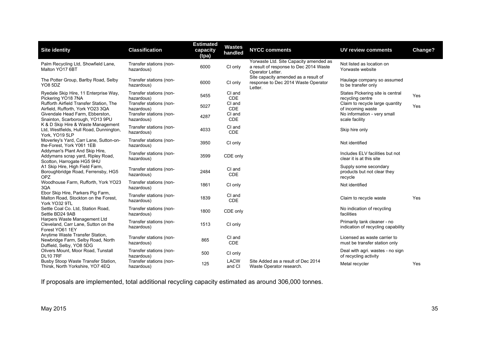| <b>Site identity</b>                                                                              | <b>Classification</b>                 | <b>Estimated</b><br>capacity<br>(tpa) | <b>Wastes</b><br>handled | <b>NYCC comments</b>                                                                                 | <b>UV review comments</b>                                         | Change? |
|---------------------------------------------------------------------------------------------------|---------------------------------------|---------------------------------------|--------------------------|------------------------------------------------------------------------------------------------------|-------------------------------------------------------------------|---------|
| Palm Recycling Ltd, Showfield Lane,<br>Malton YO17 6BT                                            | Transfer stations (non-<br>hazardous) | 6000                                  | CI only                  | Yorwaste Ltd. Site Capacity amended as<br>a result of response to Dec 2014 Waste<br>Operator Letter. | Not listed as location on<br>Yorwaste website                     |         |
| The Potter Group, Barlby Road, Selby<br><b>YO8 5DZ</b>                                            | Transfer stations (non-<br>hazardous) | 6000                                  | CI only                  | Site capacity amended as a result of<br>response to Dec 2014 Waste Operator<br>Letter.               | Haulage company so assumed<br>to be transfer only                 |         |
| Ryedale Skip Hire, 11 Enterprise Way,<br>Pickering YO18 7NA                                       | Transfer stations (non-<br>hazardous) | 5455                                  | CI and<br><b>CDE</b>     |                                                                                                      | States Pickering site is central<br>recycling centre              | Yes     |
| Rufforth Airfield Transfer Station, The<br>Airfield, Rufforth, York YO23 3QA                      | Transfer stations (non-<br>hazardous) | 5027                                  | CI and<br><b>CDE</b>     |                                                                                                      | Claim to recycle large quantity<br>of incoming waste              | Yes     |
| Givendale Head Farm, Ebberston,<br>Snainton, Scarborough, YO13 9PU                                | Transfer stations (non-<br>hazardous) | 4287                                  | CI and<br><b>CDE</b>     |                                                                                                      | No information - very small<br>scale facility                     |         |
| K & D Skip Hire & Waste Management<br>Ltd, Westfields, Hull Road, Dunnington,<br>York, YO19 5LP   | Transfer stations (non-<br>hazardous) | 4033                                  | CI and<br>CDE            |                                                                                                      | Skip hire only                                                    |         |
| Moverley's Yard, Carr Lane, Sutton-on-<br>the-Forest, York Y061 1EB                               | Transfer stations (non-<br>hazardous) | 3950                                  | CI only                  |                                                                                                      | Not identified                                                    |         |
| Addyman's Plant And Skip Hire,<br>Addymans scrap yard, Ripley Road,<br>Scotton, Harrogate HG5 9HU | Transfer stations (non-<br>hazardous) | 3599                                  | CDE only                 |                                                                                                      | Includes ELV facilities but not<br>clear it is at this site       |         |
| A1 Skip Hire, High Field Farm,<br>Boroughbridge Road, Ferrensby, HG5<br><b>OPZ</b>                | Transfer stations (non-<br>hazardous) | 2484                                  | CI and<br>CDE            |                                                                                                      | Supply some secondary<br>products but not clear they<br>recycle   |         |
| Woodhouse Farm, Rufforth, York YO23<br>3QA                                                        | Transfer stations (non-<br>hazardous) | 1861                                  | CI only                  |                                                                                                      | Not identified                                                    |         |
| Ebor Skip Hire, Parkers Pig Farm,<br>Malton Road, Stockton on the Forest,<br>York YO32 9TL        | Transfer stations (non-<br>hazardous) | 1839                                  | CI and<br>CDE            |                                                                                                      | Claim to recycle waste                                            | Yes     |
| Settle Coal Co. Ltd, Station Road,<br>Settle BD24 9AB                                             | Transfer stations (non-<br>hazardous) | 1800                                  | CDE only                 |                                                                                                      | No indication of recycling<br>facilities                          |         |
| Harpers Waste Management Ltd<br>Cleveland, Carr Lane, Sutton on the<br>Forest YO61 1EY            | Transfer stations (non-<br>hazardous) | 1513                                  | CI only                  |                                                                                                      | Primarily tank cleaner - no<br>indication of recycling capability |         |
| Anytime Waste Transfer Station,<br>Newbridge Farm, Selby Road, North<br>Duffield, Selby, YO8 5DG  | Transfer stations (non-<br>hazardous) | 865                                   | CI and<br>CDE            |                                                                                                      | Licensed as waste carrier to<br>must be transfer station only     |         |
| Olivers Mount, Moor Road, Tunstall<br><b>DL10 7RF</b>                                             | Transfer stations (non-<br>hazardous) | 500                                   | CI only                  |                                                                                                      | Deal with agri. wastes - no sign<br>of recycling activity         |         |
| Busby Stoop Waste Transfer Station,<br>Thirsk, North Yorkshire, YO7 4EQ                           | Transfer stations (non-<br>hazardous) | 125                                   | <b>LACW</b><br>and CI    | Site Added as a result of Dec 2014<br>Waste Operator research.                                       | Metal recycler                                                    | Yes     |

If proposals are implemented, total additional recycling capacity estimated as around 306,000 tonnes.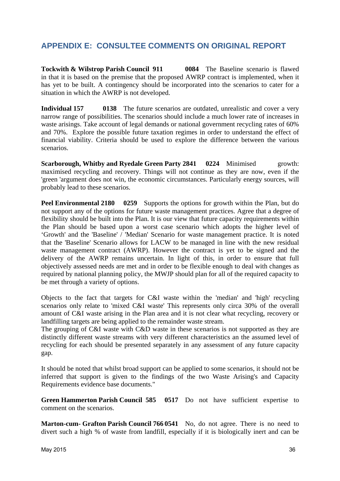## **APPENDIX E: CONSULTEE COMMENTS ON ORIGINAL REPORT**

**Tockwith & Wilstrop Parish Council 911** 0084 The Baseline scenario is flawed in that it is based on the premise that the proposed AWRP contract is implemented, when it has yet to be built. A contingency should be incorporated into the scenarios to cater for a situation in which the AWRP is not developed.

**Individual 157** 0138 The future scenarios are outdated, unrealistic and cover a very narrow range of possibilities. The scenarios should include a much lower rate of increases in waste arisings. Take account of legal demands or national government recycling rates of 60% and 70%. Explore the possible future taxation regimes in order to understand the effect of financial viability. Criteria should be used to explore the difference between the various scenarios.

**Scarborough, Whitby and Ryedale Green Party 2841 0224** Minimised growth: maximised recycling and recovery. Things will not continue as they are now, even if the 'green 'argument does not win, the economic circumstances. Particularly energy sources, will probably lead to these scenarios.

**Peel Environmental 2180 0259** Supports the options for growth within the Plan, but do not support any of the options for future waste management practices. Agree that a degree of flexibility should be built into the Plan. It is our view that future capacity requirements within the Plan should be based upon a worst case scenario which adopts the higher level of 'Growth' and the 'Baseline' / 'Median' Scenario for waste management practice. It is noted that the 'Baseline' Scenario allows for LACW to be managed in line with the new residual waste management contract (AWRP). However the contract is yet to be signed and the delivery of the AWRP remains uncertain. In light of this, in order to ensure that full objectively assessed needs are met and in order to be flexible enough to deal with changes as required by national planning policy, the MWJP should plan for all of the required capacity to be met through a variety of options.

Objects to the fact that targets for C&I waste within the 'median' and 'high' recycling scenarios only relate to 'mixed C&I waste' This represents only circa 30% of the overall amount of C&I waste arising in the Plan area and it is not clear what recycling, recovery or landfilling targets are being applied to the remainder waste stream.

The grouping of C&I waste with C&D waste in these scenarios is not supported as they are distinctly different waste streams with very different characteristics an the assumed level of recycling for each should be presented separately in any assessment of any future capacity gap.

It should be noted that whilst broad support can be applied to some scenarios, it should not be inferred that support is given to the findings of the two Waste Arising's and Capacity Requirements evidence base documents."

**Green Hammerton Parish Council 585 0517** Do not have sufficient expertise to comment on the scenarios.

**Marton-cum- Grafton Parish Council 766 0541** No, do not agree. There is no need to divert such a high % of waste from landfill, especially if it is biologically inert and can be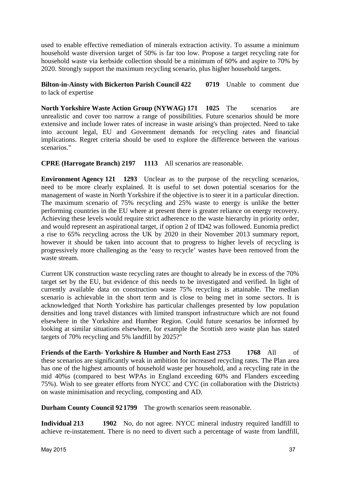used to enable effective remediation of minerals extraction activity. To assume a minimum household waste diversion target of 50% is far too low. Propose a target recycling rate for household waste via kerbside collection should be a minimum of 60% and aspire to 70% by 2020. Strongly support the maximum recycling scenario, plus higher household targets.

**Bilton-in-Ainsty with Bickerton Parish Council 422 0719** Unable to comment due to lack of expertise

**North Yorkshire Waste Action Group (NYWAG) 171 1025** The scenarios are unrealistic and cover too narrow a range of possibilities. Future scenarios should be more extensive and include lower rates of increase in waste arising's than projected. Need to take into account legal, EU and Government demands for recycling rates and financial implications. Regret criteria should be used to explore the difference between the various scenarios."

#### **CPRE (Harrogate Branch) 2197 1113** All scenarios are reasonable.

**Environment Agency 121 1293** Unclear as to the purpose of the recycling scenarios, need to be more clearly explained. It is useful to set down potential scenarios for the management of waste in North Yorkshire if the objective is to steer it in a particular direction. The maximum scenario of 75% recycling and 25% waste to energy is unlike the better performing countries in the EU where at present there is greater reliance on energy recovery. Achieving these levels would require strict adherence to the waste hierarchy in priority order, and would represent an aspirational target, if option 2 of ID42 was followed. Eunomia predict a rise to 65% recycling across the UK by 2020 in their November 2013 summary report, however it should be taken into account that to progress to higher levels of recycling is progressively more challenging as the 'easy to recycle' wastes have been removed from the waste stream.

Current UK construction waste recycling rates are thought to already be in excess of the 70% target set by the EU, but evidence of this needs to be investigated and verified. In light of currently available data on construction waste 75% recycling is attainable. The median scenario is achievable in the short term and is close to being met in some sectors. It is acknowledged that North Yorkshire has particular challenges presented by low population densities and long travel distances with limited transport infrastructure which are not found elsewhere in the Yorkshire and Humber Region. Could future scenarios be informed by looking at similar situations elsewhere, for example the Scottish zero waste plan has stated targets of 70% recycling and 5% landfill by 2025?"

**Friends of the Earth- Yorkshire & Humber and North East 2753 1768** All of these scenarios are significantly weak in ambition for increased recycling rates. The Plan area has one of the highest amounts of household waste per household, and a recycling rate in the mid 40%s (compared to best WPAs in England exceeding 60% and Flanders exceeding 75%). Wish to see greater efforts from NYCC and CYC (in collaboration with the Districts) on waste minimisation and recycling, composting and AD.

**Durham County Council 92 1799** The growth scenarios seem reasonable.

**Individual 213** 1902 No, do not agree. NYCC mineral industry required landfill to achieve re-instatement. There is no need to divert such a percentage of waste from landfill,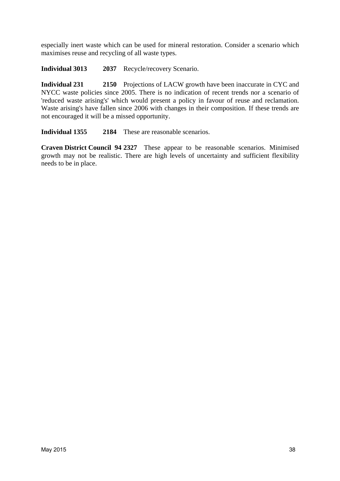especially inert waste which can be used for mineral restoration. Consider a scenario which maximises reuse and recycling of all waste types.

**Individual 3013 2037** Recycle/recovery Scenario.

**Individual 231** 2150 Projections of LACW growth have been inaccurate in CYC and NYCC waste policies since 2005. There is no indication of recent trends nor a scenario of 'reduced waste arising's' which would present a policy in favour of reuse and reclamation. Waste arising's have fallen since 2006 with changes in their composition. If these trends are not encouraged it will be a missed opportunity.

**Individual 1355 2184** These are reasonable scenarios.

**Craven District Council 94 2327** These appear to be reasonable scenarios. Minimised growth may not be realistic. There are high levels of uncertainty and sufficient flexibility needs to be in place.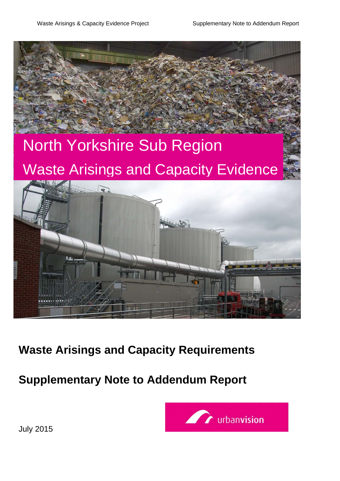![](_page_42_Picture_2.jpeg)

**Waste Arisings and Capacity Requirements** 

**Supplementary Note to Addendum Report** 

![](_page_42_Picture_5.jpeg)

July 2015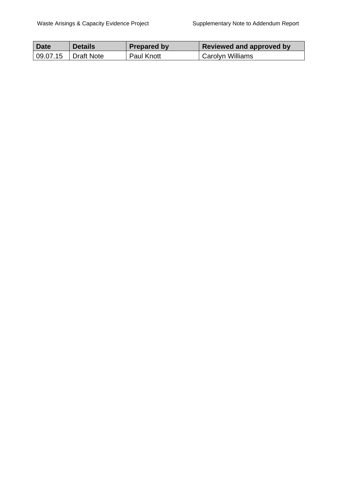| <b>Date</b> | <b>Details</b>          | Prepared by | <b>Reviewed and approved by</b> |
|-------------|-------------------------|-------------|---------------------------------|
| 09.07.15    | <sup>1</sup> Draft Note | Paul Knott  | <b>Carolyn Williams</b>         |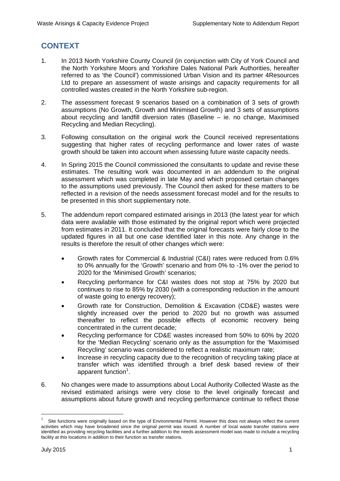## **CONTEXT**

- 1. In 2013 North Yorkshire County Council (in conjunction with City of York Council and the North Yorkshire Moors and Yorkshire Dales National Park Authorities, hereafter referred to as 'the Council') commissioned Urban Vision and its partner 4Resources Ltd to prepare an assessment of waste arisings and capacity requirements for all controlled wastes created in the North Yorkshire sub-region.
- 2. The assessment forecast 9 scenarios based on a combination of 3 sets of growth assumptions (No Growth, Growth and Minimised Growth) and 3 sets of assumptions about recycling and landfill diversion rates (Baseline – ie. no change, Maximised Recycling and Median Recycling).
- 3. Following consultation on the original work the Council received representations suggesting that higher rates of recycling performance and lower rates of waste growth should be taken into account when assessing future waste capacity needs.
- 4. In Spring 2015 the Council commissioned the consultants to update and revise these estimates. The resulting work was documented in an addendum to the original assessment which was completed in late May and which proposed certain changes to the assumptions used previously. The Council then asked for these matters to be reflected in a revision of the needs assessment forecast model and for the results to be presented in this short supplementary note.
- 5. The addendum report compared estimated arisings in 2013 (the latest year for which data were available with those estimated by the original report which were projected from estimates in 2011. It concluded that the original forecasts were fairly close to the updated figures in all but one case identified later in this note. Any change in the results is therefore the result of other changes which were:
	- Growth rates for Commercial & Industrial (C&I) rates were reduced from 0.6% to 0% annually for the 'Growth' scenario and from 0% to -1% over the period to 2020 for the 'Minimised Growth' scenarios;
	- Recycling performance for C&I wastes does not stop at 75% by 2020 but continues to rise to 85% by 2030 (with a corresponding reduction in the amount of waste going to energy recovery);
	- Growth rate for Construction, Demolition & Excavation (CD&E) wastes were slightly increased over the period to 2020 but no growth was assumed thereafter to reflect the possible effects of economic recovery being concentrated in the current decade;
	- Recycling performance for CD&E wastes increased from 50% to 60% by 2020 for the 'Median Recycling' scenario only as the assumption for the 'Maximised Recycling' scenario was considered to reflect a realistic maximum rate;
	- Increase in recycling capacity due to the recognition of recycling taking place at transfer which was identified through a brief desk based review of their apparent function<sup>1</sup>.
- 6. No changes were made to assumptions about Local Authority Collected Waste as the revised estimated arisings were very close to the level originally forecast and assumptions about future growth and recycling performance continue to reflect those

<sup>1</sup> Site functions were originally based on the type of Environmental Permit. However this does not always reflect the current activities which may have broadened since the original permit was issued. A number of local waste transfer stations were identified as providing recycling facilities and a further addition to the needs assessment model was made to include a recycling facility at this locations in addition to their function as transfer stations.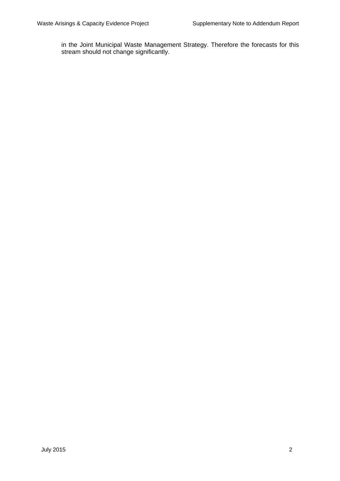in the Joint Municipal Waste Management Strategy. Therefore the forecasts for this stream should not change significantly.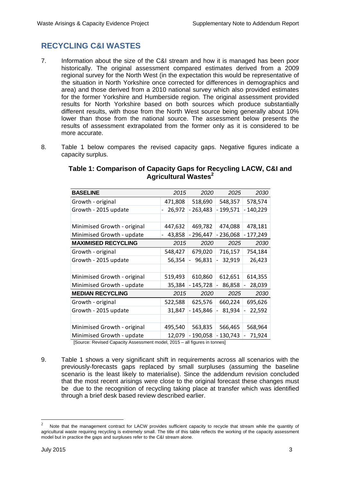## **RECYCLING C&I WASTES**

- 7. Information about the size of the C&I stream and how it is managed has been poor historically. The original assessment compared estimates derived from a 2009 regional survey for the North West (in the expectation this would be representative of the situation in North Yorkshire once corrected for differences in demographics and area) and those derived from a 2010 national survey which also provided estimates for the former Yorkshire and Humberside region. The original assessment provided results for North Yorkshire based on both sources which produce substantially different results, with those from the North West source being generally about 10% lower than those from the national source. The assessment below presents the results of assessment extrapolated from the former only as it is considered to be more accurate.
- 8. Table 1 below compares the revised capacity gaps. Negative figures indicate a capacity surplus.

| <b>BASELINE</b>             | 2015    | 2020       | 2025                                   | 2030       |
|-----------------------------|---------|------------|----------------------------------------|------------|
| Growth - original           | 471,808 | 518,690    | 548,357                                | 578,574    |
| Growth - 2015 update        | 26,972  | $-263,483$ | $-199,571$                             | $-140,229$ |
|                             |         |            |                                        |            |
| Minimised Growth - original | 447,632 | 469,782    | 474,088                                | 478,181    |
| Minimised Growth - update   | 43,858  | - 296,447  | - 236,068                              | - 177,249  |
| <b>MAXIMISED RECYCLING</b>  | 2015    | 2020       | 2025                                   | 2030       |
| Growth - original           | 548,427 | 679,020    | 716,157                                | 754,184    |
| Growth - 2015 update        | 56,354  | 96,831     | 32,919                                 | 26,423     |
|                             |         |            |                                        |            |
| Minimised Growth - original | 519,493 | 610,860    | 612,651                                | 614,355    |
| Minimised Growth - update   | 35,384  | - 145,728  | 86,858<br>$\qquad \qquad \blacksquare$ | 28,039     |
| <b>MEDIAN RECYCLING</b>     | 2015    | 2020       | 2025                                   | 2030       |
| Growth - original           | 522,588 | 625,576    | 660,224                                | 695,626    |
| Growth - 2015 update        | 31,847  | - 145,846  | 81,934<br>$\overline{a}$               | 22,592     |
|                             |         |            |                                        |            |
| Minimised Growth - original | 495,540 | 563,835    | 566,465                                | 568,964    |
| Minimised Growth - update   | 12,079  | $-190,058$ | $-130,743$                             | 71,924     |

#### **Table 1: Comparison of Capacity Gaps for Recycling LACW, C&I and Agricultural Wastes2**

[Source: Revised Capacity Assessment model, 2015 – all figures in tonnes]

9. Table 1 shows a very significant shift in requirements across all scenarios with the previously-forecasts gaps replaced by small surpluses (assuming the baseline scenario is the least likely to materialise). Since the addendum revision concluded that the most recent arisings were close to the original forecast these changes must be due to the recognition of recycling taking place at transfer which was identified through a brief desk based review described earlier.

<sup>2</sup> Note that the management contract for LACW provides sufficient capacity to recycle that stream while the quantity of agricultural waste requiring recycling is extremely small. The title of this table reflects the working of the capacity assessment model but in practice the gaps and surpluses refer to the C&I stream alone.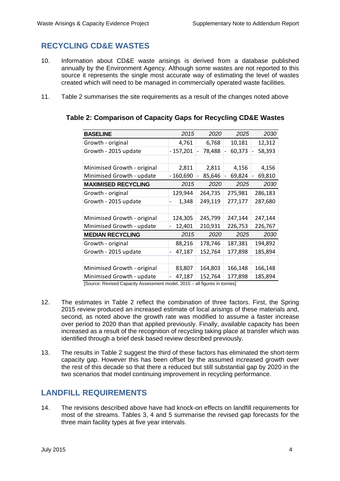## **RECYCLING CD&E WASTES**

- 10. Information about CD&E waste arisings is derived from a database published annually by the Environment Agency. Although some wastes are not reported to this source it represents the single most accurate way of estimating the level of wastes created which will need to be managed in commercially operated waste facilities.
- 11. Table 2 summarises the site requirements as a result of the changes noted above

| <b>BASELINE</b>             | 2015                               | 2020                               | 2025                     | 2030    |
|-----------------------------|------------------------------------|------------------------------------|--------------------------|---------|
| Growth - original           | 4,761                              | 6,768                              | 10,181                   | 12,312  |
| Growth - 2015 update        | $-157,201$                         | 78,488<br>$\qquad \qquad -$        | 60,373<br>-              | 58,393  |
|                             |                                    |                                    |                          |         |
| Minimised Growth - original | 2,811                              | 2,811                              | 4,156                    | 4,156   |
| Minimised Growth - update   | $-160,690$                         | 85,646<br>$\overline{\phantom{0}}$ | 69,824<br>$\overline{a}$ | 69,810  |
| <b>MAXIMISED RECYCLING</b>  | 2015                               | 2020                               | 2025                     | 2030    |
| Growth - original           | 129,944                            | 264,735                            | 275,981                  | 286,183 |
| Growth - 2015 update        | 1,348<br>-                         | 249,119                            | 277,177                  | 287,680 |
|                             |                                    |                                    |                          |         |
| Minimised Growth - original | 124,305                            | 245,799                            | 247,144                  | 247,144 |
| Minimised Growth - update   | 12,401                             | 210,931                            | 226,753                  | 226,767 |
| <b>MEDIAN RECYCLING</b>     | 2015                               | 2020                               | 2025                     | 2030    |
| Growth - original           | 88,216                             | 178,746                            | 187,381                  | 194,892 |
| Growth - 2015 update        | 47,187<br>$\qquad \qquad -$        | 152,764                            | 177,898                  | 185,894 |
|                             |                                    |                                    |                          |         |
| Minimised Growth - original | 83,807                             | 164,803                            | 166,148                  | 166,148 |
| Minimised Growth - update   | 47,187<br>$\overline{\phantom{0}}$ | 152,764                            | 177,898                  | 185,894 |

#### **Table 2: Comparison of Capacity Gaps for Recycling CD&E Wastes**

[Source: Revised Capacity Assessment model, 2015 – all figures in tonnes]

- 12. The estimates in Table 2 reflect the combination of three factors. First, the Spring 2015 review produced an increased estimate of local arisings of these materials and, second, as noted above the growth rate was modified to assume a faster increase over period to 2020 than that applied previously. Finally, available capacity has been increased as a result of the recognition of recycling taking place at transfer which was identified through a brief desk based review described previously.
- 13. The results in Table 2 suggest the third of these factors has eliminated the short-term capacity gap. However this has been offset by the assumed increased growth over the rest of this decade so that there a reduced but still substantial gap by 2020 in the two scenarios that model continuing improvement in recycling performance.

## **LANDFILL REQUIREMENTS**

14. The revisions described above have had knock-on effects on landfill requirements for most of the streams. Tables 3, 4 and 5 summarise the revised gap forecasts for the three main facility types at five year intervals.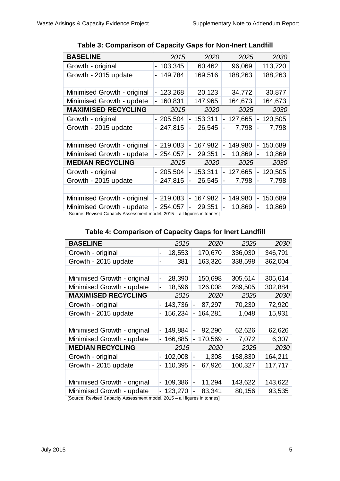| <b>BASELINE</b>             | 2015       | 2020                                   | 2025                                    | 2030                               |
|-----------------------------|------------|----------------------------------------|-----------------------------------------|------------------------------------|
| Growth - original           | - 103,345  | 60,462                                 | 96,069                                  | 113,720                            |
| Growth - 2015 update        | 149,784    | 169,516                                | 188,263                                 | 188,263                            |
|                             |            |                                        |                                         |                                    |
| Minimised Growth - original | $-123,268$ | 20,123                                 | 34,772                                  | 30,877                             |
| Minimised Growth - update   | 160,831    | 147,965                                | 164,673                                 | 164,673                            |
| <b>MAXIMISED RECYCLING</b>  | 2015       | 2020                                   | 2025                                    | 2030                               |
| Growth - original           | $-205,504$ | 153,311<br>$\overline{\phantom{0}}$    | 127,665<br>$\qquad \qquad \blacksquare$ | 120,505<br>$\blacksquare$          |
| Growth - 2015 update        | $-247,815$ | 26,545                                 | 7,798                                   | 7,798                              |
|                             |            |                                        |                                         |                                    |
| Minimised Growth - original | $-219,083$ | $-167,982$                             | 149,980<br>$\overline{\phantom{0}}$     | 150,689<br>$\blacksquare$          |
| Minimised Growth - update   | - 254,057  | 29,351<br>$\qquad \qquad \blacksquare$ | 10,869                                  | 10,869<br>$\overline{\phantom{a}}$ |
| <b>MEDIAN RECYCLING</b>     | 2015       | 2020                                   | 2025                                    | 2030                               |
| Growth - original           | $-205,504$ | 153,311<br>$\overline{\phantom{0}}$    | 127,665<br>$\overline{\phantom{0}}$     | 120,505<br>$\blacksquare$          |
| Growth - 2015 update        | $-247,815$ | 26,545<br>$\overline{\phantom{0}}$     | 7,798<br>$\overline{\phantom{0}}$       | 7,798<br>$\overline{\phantom{0}}$  |
|                             |            |                                        |                                         |                                    |
| Minimised Growth - original | $-219,083$ | - 167,982                              | $-149,980$                              | 150,689<br>$\blacksquare$          |
| Minimised Growth - update   | $-254,057$ | 29,351<br>$\overline{\phantom{0}}$     | 10,869<br>$\overline{\phantom{0}}$      | 10,869<br>$\overline{\phantom{0}}$ |

## **Table 3: Comparison of Capacity Gaps for Non-Inert Landfill**

[Source: Revised Capacity Assessment model, 2015 – all figures in tonnes]

### **Table 4: Comparison of Capacity Gaps for Inert Landfill**

| <b>BASELINE</b>             | 2015                      | 2020                      | 2025    | 2030    |  |
|-----------------------------|---------------------------|---------------------------|---------|---------|--|
| Growth - original           | 18,553<br>۰               | 170,670                   | 336,030 | 346,791 |  |
| Growth - 2015 update        | 381                       | 163,326                   | 338,598 | 362,004 |  |
|                             |                           |                           |         |         |  |
| Minimised Growth - original | 28,390                    | 150,698                   | 305,614 | 305,614 |  |
| Minimised Growth - update   | 18,596<br>÷,              | 126,008                   | 289,505 | 302,884 |  |
| <b>MAXIMISED RECYCLING</b>  | 2015                      | 2020                      | 2025    | 2030    |  |
| Growth - original           | 143,736<br>$\blacksquare$ | 87,297<br>$\blacksquare$  | 70,230  | 72,920  |  |
| Growth - 2015 update        | 156,234                   | 164,281<br>ä,             | 1,048   | 15,931  |  |
|                             |                           |                           |         |         |  |
| Minimised Growth - original | 149,884<br>$\blacksquare$ | 92,290                    | 62,626  | 62,626  |  |
| Minimised Growth - update   | 166,885<br>$\blacksquare$ | 170,569<br>$\blacksquare$ | 7,072   | 6,307   |  |
| <b>MEDIAN RECYCLING</b>     | 2015                      | 2020                      | 2025    | 2030    |  |
| Growth - original           | $-102,008$                | 1,308<br>$\frac{1}{2}$    | 158,830 | 164,211 |  |
| Growth - 2015 update        | 110,395<br>$\blacksquare$ | 67,926<br>÷,              | 100,327 | 117,717 |  |
|                             |                           |                           |         |         |  |
| Minimised Growth - original | 109,386<br>$\blacksquare$ | 11,294<br>$\blacksquare$  | 143,622 | 143,622 |  |
| Minimised Growth - update   | $-123,270$                | 83,341                    | 80,156  | 93,535  |  |

[Source: Revised Capacity Assessment model, 2015 – all figures in tonnes]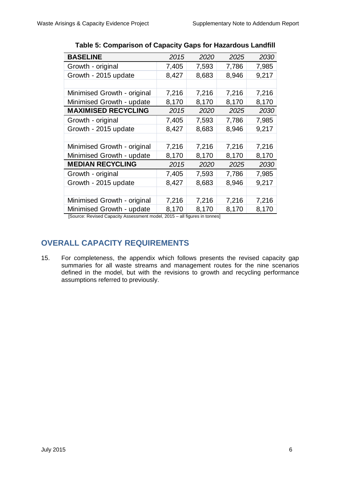| <b>BASELINE</b>             | 2015  | 2020  | 2025  | 2030  |
|-----------------------------|-------|-------|-------|-------|
| Growth - original           | 7,405 | 7,593 | 7,786 | 7,985 |
| Growth - 2015 update        | 8,427 | 8,683 | 8,946 | 9,217 |
|                             |       |       |       |       |
| Minimised Growth - original | 7,216 | 7,216 | 7,216 | 7,216 |
| Minimised Growth - update   | 8,170 | 8,170 | 8,170 | 8,170 |
| <b>MAXIMISED RECYCLING</b>  | 2015  | 2020  | 2025  | 2030  |
| Growth - original           | 7,405 | 7,593 | 7,786 | 7,985 |
| Growth - 2015 update        | 8,427 | 8,683 | 8,946 | 9,217 |
|                             |       |       |       |       |
| Minimised Growth - original | 7,216 | 7,216 | 7,216 | 7,216 |
| Minimised Growth - update   | 8,170 | 8,170 | 8,170 | 8,170 |
| <b>MEDIAN RECYCLING</b>     | 2015  | 2020  | 2025  | 2030  |
| Growth - original           | 7,405 | 7,593 | 7,786 | 7,985 |
| Growth - 2015 update        | 8,427 | 8,683 | 8,946 | 9,217 |
|                             |       |       |       |       |
| Minimised Growth - original | 7,216 | 7,216 | 7,216 | 7,216 |
| Minimised Growth - update   | 8,170 | 8,170 | 8,170 | 8,170 |

#### **Table 5: Comparison of Capacity Gaps for Hazardous Landfill**

[Source: Revised Capacity Assessment model, 2015 – all figures in tonnes]

## **OVERALL CAPACITY REQUIREMENTS**

15. For completeness, the appendix which follows presents the revised capacity gap summaries for all waste streams and management routes for the nine scenarios defined in the model, but with the revisions to growth and recycling performance assumptions referred to previously.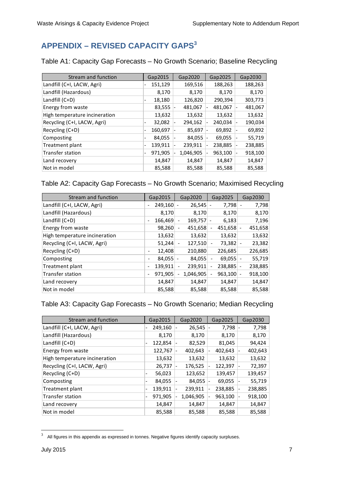## **APPENDIX – REVISED CAPACITY GAPS<sup>3</sup>**

Table A1: Capacity Gap Forecasts – No Growth Scenario; Baseline Recycling

| Stream and function           | Gap2015                                 | Gap2020   | Gap2025 | Gap2030                                 |
|-------------------------------|-----------------------------------------|-----------|---------|-----------------------------------------|
| Landfill (C+I, LACW, Agri)    | 151,129<br>$\overline{\phantom{a}}$     | 169,516   | 188,263 | 188,263                                 |
| Landfill (Hazardous)          | 8,170                                   | 8,170     | 8,170   | 8,170                                   |
| Landfill (C+D)                | 18,180<br>$\qquad \qquad \blacksquare$  | 126,820   | 290,394 | 303,773                                 |
| Energy from waste             | 83,555                                  | 481,067   | 481,067 | 481,067<br>-                            |
| High temperature incineration | 13,632                                  | 13,632    | 13,632  | 13,632                                  |
| Recycling (C+I, LACW, Agri)   | 32,082<br>$\qquad \qquad \blacksquare$  | 294,162   | 240,034 | 190,034                                 |
| Recycling (C+D)               | 160,697<br>$\qquad \qquad \blacksquare$ | 85,697    | 69,892  | 69,892<br>-                             |
| Composting                    | 84,055<br>$\overline{\phantom{a}}$      | 84,055    | 69,055  | 55,719                                  |
| Treatment plant               | 139,911<br>$\qquad \qquad \blacksquare$ | 239,911   | 238,885 | 238,885<br>$\qquad \qquad \blacksquare$ |
| Transfer station              | 971,905<br>$\qquad \qquad \blacksquare$ | 1,046,905 | 963,100 | 918,100                                 |
| Land recovery                 | 14,847                                  | 14,847    | 14,847  | 14,847                                  |
| Not in model                  | 85,588                                  | 85,588    | 85,588  | 85,588                                  |

#### Table A2: Capacity Gap Forecasts – No Growth Scenario; Maximised Recycling

| Stream and function           |                              | Gap2015 |                          | Gap2020   |                          | Gap2025 |                          | Gap2030 |
|-------------------------------|------------------------------|---------|--------------------------|-----------|--------------------------|---------|--------------------------|---------|
| Landfill (C+I, LACW, Agri)    |                              | 249,160 |                          | 26,545    | $\overline{\phantom{a}}$ | 7,798   |                          | 7,798   |
| Landfill (Hazardous)          |                              | 8,170   |                          | 8,170     |                          | 8,170   |                          | 8,170   |
| Landfill (C+D)                |                              | 166,469 | -                        | 169,757   | $\blacksquare$           | 6,183   |                          | 7,196   |
| Energy from waste             |                              | 98,260  | ۰                        | 451,658   | -                        | 451,658 | $\overline{\phantom{a}}$ | 451,658 |
| High temperature incineration |                              | 13,632  |                          | 13,632    |                          | 13,632  |                          | 13,632  |
| Recycling (C+I, LACW, Agri)   |                              | 51,244  | $\overline{\phantom{a}}$ | 127,510   |                          | 73,382  | $\qquad \qquad -$        | 23,382  |
| Recycling (C+D)               | $\overline{\phantom{a}}$     | 12,408  |                          | 210,880   |                          | 226,685 |                          | 226,685 |
| Composting                    | $\overline{\phantom{a}}$     | 84,055  |                          | 84,055    |                          | 69,055  | $\overline{\phantom{a}}$ | 55,719  |
| Treatment plant               | $\qquad \qquad \blacksquare$ | 139,911 |                          | 239,911   |                          | 238,885 | $\overline{\phantom{a}}$ | 238,885 |
| Transfer station              |                              | 971,905 |                          | 1,046,905 |                          | 963,100 | $\overline{\phantom{a}}$ | 918,100 |
| Land recovery                 |                              | 14,847  |                          | 14,847    |                          | 14,847  |                          | 14,847  |
| Not in model                  |                              | 85,588  |                          | 85,588    |                          | 85,588  |                          | 85,588  |

#### Table A3: Capacity Gap Forecasts – No Growth Scenario; Median Recycling

| Stream and function           | Gap2015                             | Gap2020                             | Gap2025 | Gap2030 |
|-------------------------------|-------------------------------------|-------------------------------------|---------|---------|
| Landfill (C+I, LACW, Agri)    | 249,160                             | 26,545                              | 7,798   | 7,798   |
| Landfill (Hazardous)          | 8,170                               | 8,170                               | 8,170   | 8,170   |
| Landfill (C+D)                | 122,854<br>$\overline{\phantom{a}}$ | 82,529                              | 81,045  | 94,424  |
| Energy from waste             | 122,767                             | 402,643                             | 402,643 | 402,643 |
| High temperature incineration | 13,632                              | 13,632                              | 13,632  | 13,632  |
| Recycling (C+I, LACW, Agri)   | 26,737                              | 176,525<br>$\overline{\phantom{a}}$ | 122,397 | 72,397  |
| Recycling (C+D)               | 56,023<br>$\overline{\phantom{a}}$  | 123,652                             | 139,457 | 139,457 |
| Composting                    | 84,055<br>$\overline{\phantom{a}}$  | 84,055                              | 69,055  | 55,719  |
| Treatment plant               | 139,911<br>$\overline{\phantom{a}}$ | 239,911                             | 238,885 | 238,885 |
| Transfer station              | 971,905<br>$\overline{\phantom{a}}$ | 1,046,905                           | 963,100 | 918,100 |
| Land recovery                 | 14,847                              | 14,847                              | 14,847  | 14,847  |
| Not in model                  | 85,588                              | 85,588                              | 85,588  | 85,588  |

 3 All figures in this appendix as expressed in tonnes. Negative figures identify capacity surpluses.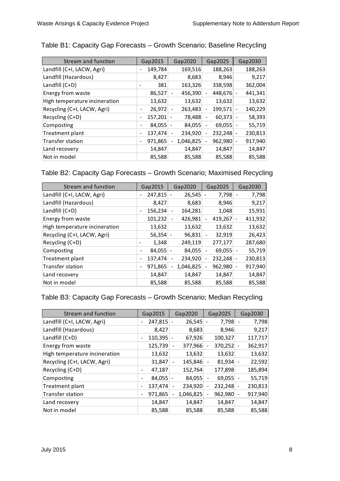| Stream and function           | Gap2015      | Gap2020                                | Gap2025 | Gap2030                             |
|-------------------------------|--------------|----------------------------------------|---------|-------------------------------------|
| Landfill (C+I, LACW, Agri)    | 149,784      | 169,516                                | 188,263 | 188,263                             |
| Landfill (Hazardous)          | 8,427        | 8,683                                  | 8,946   | 9,217                               |
| Landfill (C+D)                | 381          | 163,326                                | 338,598 | 362,004                             |
| Energy from waste             | 86,527       | 456,390<br>$\overline{\phantom{a}}$    | 448,676 | 441,341                             |
| High temperature incineration | 13,632       | 13,632                                 | 13,632  | 13,632                              |
| Recycling (C+I, LACW, Agri)   | 26,972       | 263,483<br>$\overline{\phantom{a}}$    | 199,571 | 140,229<br>$\overline{\phantom{a}}$ |
| Recycling (C+D)               | 157,201<br>- | 78,488<br>-                            | 60,373  | 58,393<br>$\overline{\phantom{a}}$  |
| Composting                    | 84,055<br>-  | 84,055<br>$\qquad \qquad \blacksquare$ | 69,055  | 55,719<br>$\blacksquare$            |
| Treatment plant               | 137,474      | 234,920                                | 232,248 | 230,813                             |
| Transfer station              | 971,865      | 1,046,825                              | 962,980 | 917,940                             |
| Land recovery                 | 14,847       | 14,847                                 | 14,847  | 14,847                              |
| Not in model                  | 85,588       | 85,588                                 | 85,588  | 85,588                              |

Table B2: Capacity Gap Forecasts – Growth Scenario; Maximised Recycling

| Stream and function           | Gap2015     | Gap2020                             | Gap2025                             | Gap2030                             |
|-------------------------------|-------------|-------------------------------------|-------------------------------------|-------------------------------------|
| Landfill (C+I, LACW, Agri)    | 247,815     | 26,545                              | 7,798                               | 7,798                               |
| Landfill (Hazardous)          | 8,427       | 8,683                               | 8,946                               | 9,217                               |
| Landfill (C+D)                | 156,234     | 164,281<br>$\overline{\phantom{a}}$ | 1,048                               | 15,931                              |
| Energy from waste             | 101,232     | 426,981<br>$\overline{\phantom{0}}$ | 419,267<br>$\overline{\phantom{0}}$ | 411,932<br>$\overline{a}$           |
| High temperature incineration | 13,632      | 13,632                              | 13,632                              | 13,632                              |
| Recycling (C+I, LACW, Agri)   | 56,354      | 96,831                              | 32,919                              | 26,423                              |
| Recycling (C+D)               | 1,348<br>-  | 249,119                             | 277,177                             | 287,680                             |
| Composting                    | 84,055<br>- | 84,055                              | $69,055$ -                          | 55,719                              |
| Treatment plant               | 137,474     | 234,920                             | $232,248$ -                         | 230,813                             |
| Transfer station              | 971,865     | 1,046,825                           | 962,980                             | 917,940<br>$\overline{\phantom{a}}$ |
| Land recovery                 | 14,847      | 14,847                              | 14,847                              | 14,847                              |
| Not in model                  | 85,588      | 85,588                              | 85,588                              | 85,588                              |

#### Table B3: Capacity Gap Forecasts – Growth Scenario; Median Recycling

| Stream and function           | Gap2015                                | Gap2020                                 | Gap2025     | Gap2030 |
|-------------------------------|----------------------------------------|-----------------------------------------|-------------|---------|
| Landfill (C+I, LACW, Agri)    | 247,815                                | 26,545<br>$\overline{\phantom{0}}$      | 7,798       | 7,798   |
| Landfill (Hazardous)          | 8,427                                  | 8,683                                   | 8,946       | 9,217   |
| Landfill (C+D)                | 110,395                                | 67,926<br>$\overline{\phantom{a}}$      | 100,327     | 117,717 |
| Energy from waste             | 125,739                                | 377,966<br>$\qquad \qquad \blacksquare$ | 370,252     | 362,917 |
| High temperature incineration | 13,632                                 | 13,632                                  | 13,632      | 13,632  |
| Recycling (C+I, LACW, Agri)   | 31,847                                 | 145,846<br>$\overline{\phantom{a}}$     | 81,934      | 22,592  |
| Recycling (C+D)               | 47,187<br>-                            | 152,764                                 | 177,898     | 185,894 |
| Composting                    | 84,055<br>$\qquad \qquad \blacksquare$ | 84,055<br>$\overline{\phantom{a}}$      | 69,055      | 55,719  |
| Treatment plant               | 137,474                                | 234,920                                 | 232,248     | 230,813 |
| Transfer station              | 971,865                                | 1,046,825                               | $962,980$ - | 917,940 |
| Land recovery                 | 14,847                                 | 14,847                                  | 14,847      | 14,847  |
| Not in model                  | 85,588                                 | 85,588                                  | 85,588      | 85,588  |